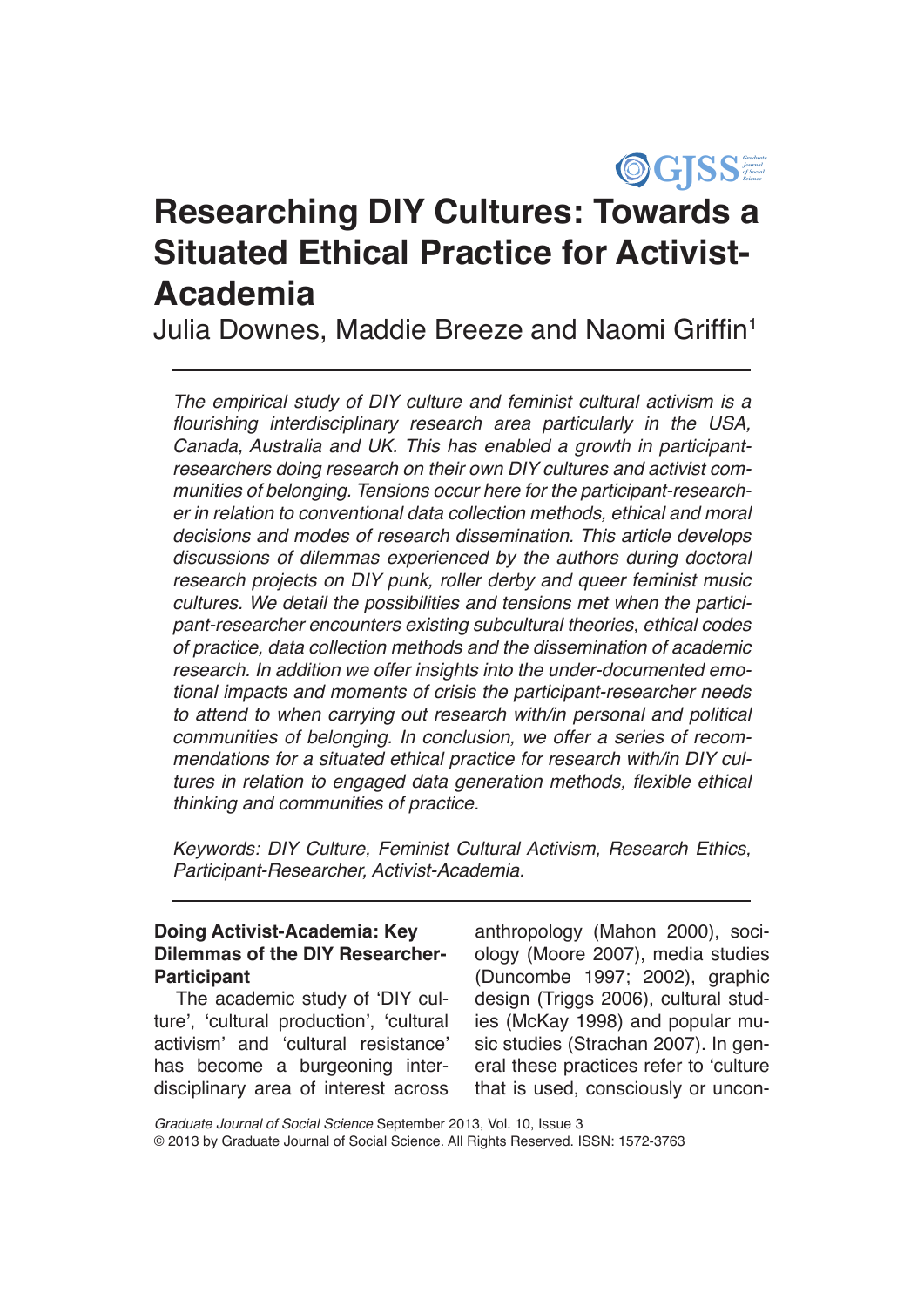

# **Researching DIY Cultures: Towards a Situated Ethical Practice for Activist-Academia**

Julia Downes, Maddie Breeze and Naomi Griffin<sup>1</sup>

*The empirical study of DIY culture and feminist cultural activism is a*  flourishing interdisciplinary research area particularly in the USA, Canada, Australia and UK. This has enabled a growth in participantresearchers doing research on their own DIY cultures and activist communities of belonging. Tensions occur here for the participant-researcher in relation to conventional data collection methods, ethical and moral decisions and modes of research dissemination. This article develops discussions of dilemmas experienced by the authors during doctoral research projects on DIY punk, roller derby and queer feminist music cultures. We detail the possibilities and tensions met when the participant-researcher encounters existing subcultural theories, ethical codes of practice, data collection methods and the dissemination of academic research. In addition we offer insights into the under-documented emotional impacts and moments of crisis the participant-researcher needs to attend to when carrying out research with/in personal and political communities of belonging. In conclusion, we offer a series of recommendations for a situated ethical practice for research with/in DIY cultures in relation to engaged data generation methods, flexible ethical thinking and communities of practice.

Keywords: DIY Culture, Feminist Cultural Activism, Research Ethics, Participant-Researcher, Activist-Academia.

## **Doing Activist-Academia: Key Dilemmas of the DIY Researcher-Participant**

The academic study of 'DIY culture', 'cultural production', 'cultural activism' and 'cultural resistance' has become a burgeoning interdisciplinary area of interest across

anthropology (Mahon 2000), sociology (Moore 2007), media studies (Duncombe 1997; 2002), graphic design (Triggs 2006), cultural studies (McKay 1998) and popular music studies (Strachan 2007). In general these practices refer to 'culture that is used, consciously or uncon-

*Graduate Journal of Social Science* September 2013, Vol. 10, Issue 3 © 2013 by Graduate Journal of Social Science. All Rights Reserved. ISSN: 1572-3763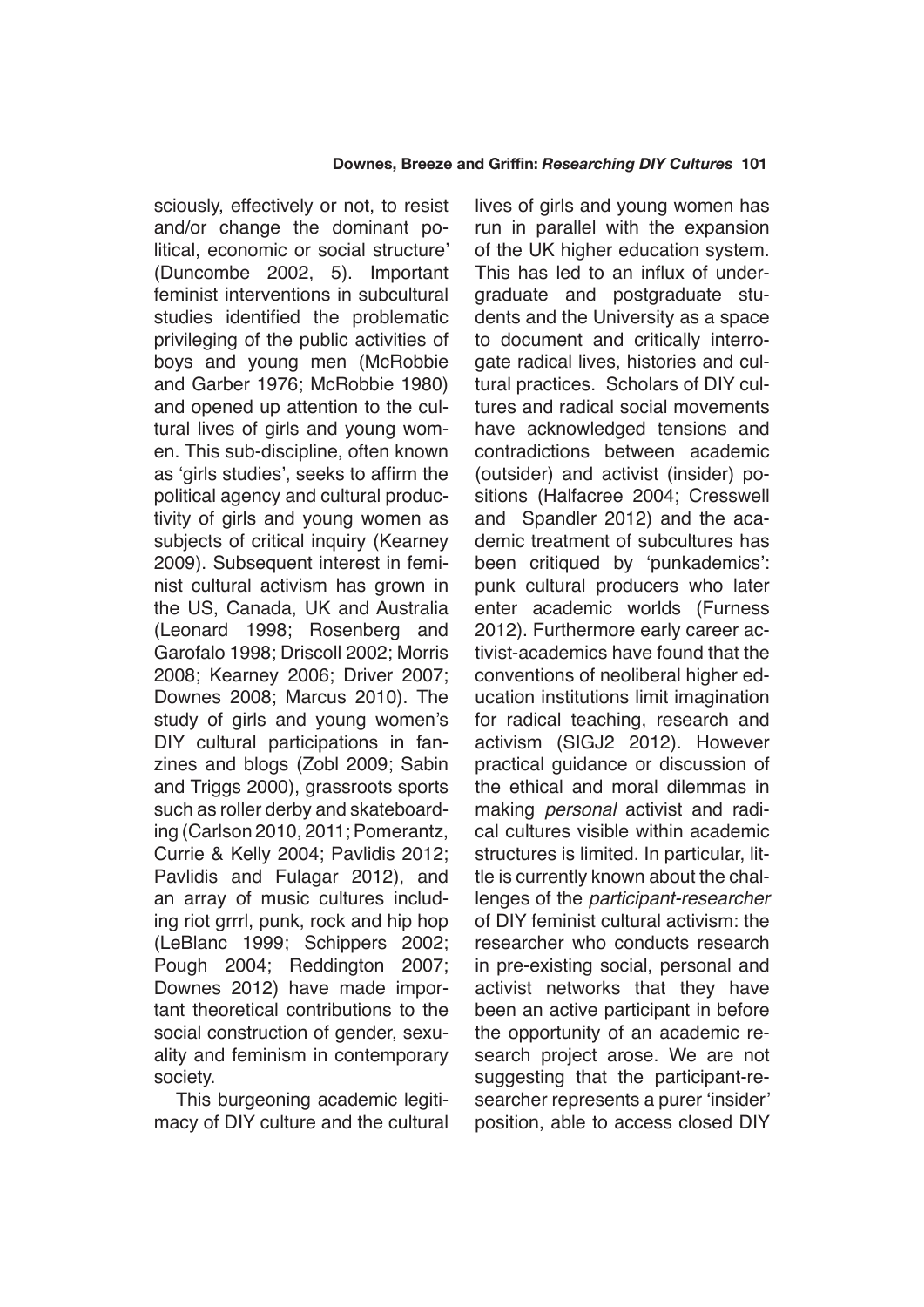sciously, effectively or not, to resist and/or change the dominant political, economic or social structure' (Duncombe 2002, 5). Important feminist interventions in subcultural studies identified the problematic privileging of the public activities of boys and young men (McRobbie and Garber 1976; McRobbie 1980) and opened up attention to the cultural lives of girls and young women. This sub-discipline, often known as 'girls studies', seeks to affirm the political agency and cultural productivity of girls and young women as subjects of critical inquiry (Kearney 2009). Subsequent interest in feminist cultural activism has grown in the US, Canada, UK and Australia (Leonard 1998; Rosenberg and Garofalo 1998; Driscoll 2002; Morris 2008; Kearney 2006; Driver 2007; Downes 2008; Marcus 2010). The study of girls and young women's DIY cultural participations in fanzines and blogs (Zobl 2009; Sabin and Triggs 2000), grassroots sports such as roller derby and skateboarding (Carlson 2010, 2011; Pomerantz, Currie & Kelly 2004; Pavlidis 2012; Pavlidis and Fulagar 2012), and an array of music cultures including riot grrrl, punk, rock and hip hop (LeBlanc 1999; Schippers 2002; Pough 2004; Reddington 2007; Downes 2012) have made important theoretical contributions to the social construction of gender, sexuality and feminism in contemporary society.

This burgeoning academic legitimacy of DIY culture and the cultural lives of girls and young women has run in parallel with the expansion of the UK higher education system. This has led to an influx of undergraduate and postgraduate students and the University as a space to document and critically interrogate radical lives, histories and cultural practices. Scholars of DIY cultures and radical social movements have acknowledged tensions and contradictions between academic (outsider) and activist (insider) positions (Halfacree 2004; Cresswell and Spandler 2012) and the academic treatment of subcultures has been critiqued by 'punkademics': punk cultural producers who later enter academic worlds (Furness 2012). Furthermore early career activist-academics have found that the conventions of neoliberal higher education institutions limit imagination for radical teaching, research and activism (SIGJ2 2012). However practical guidance or discussion of the ethical and moral dilemmas in making *personal* activist and radical cultures visible within academic structures is limited. In particular, little is currently known about the challenges of the participant-researcher of DIY feminist cultural activism: the researcher who conducts research in pre-existing social, personal and activist networks that they have been an active participant in before the opportunity of an academic research project arose. We are not suggesting that the participant-researcher represents a purer 'insider' position, able to access closed DIY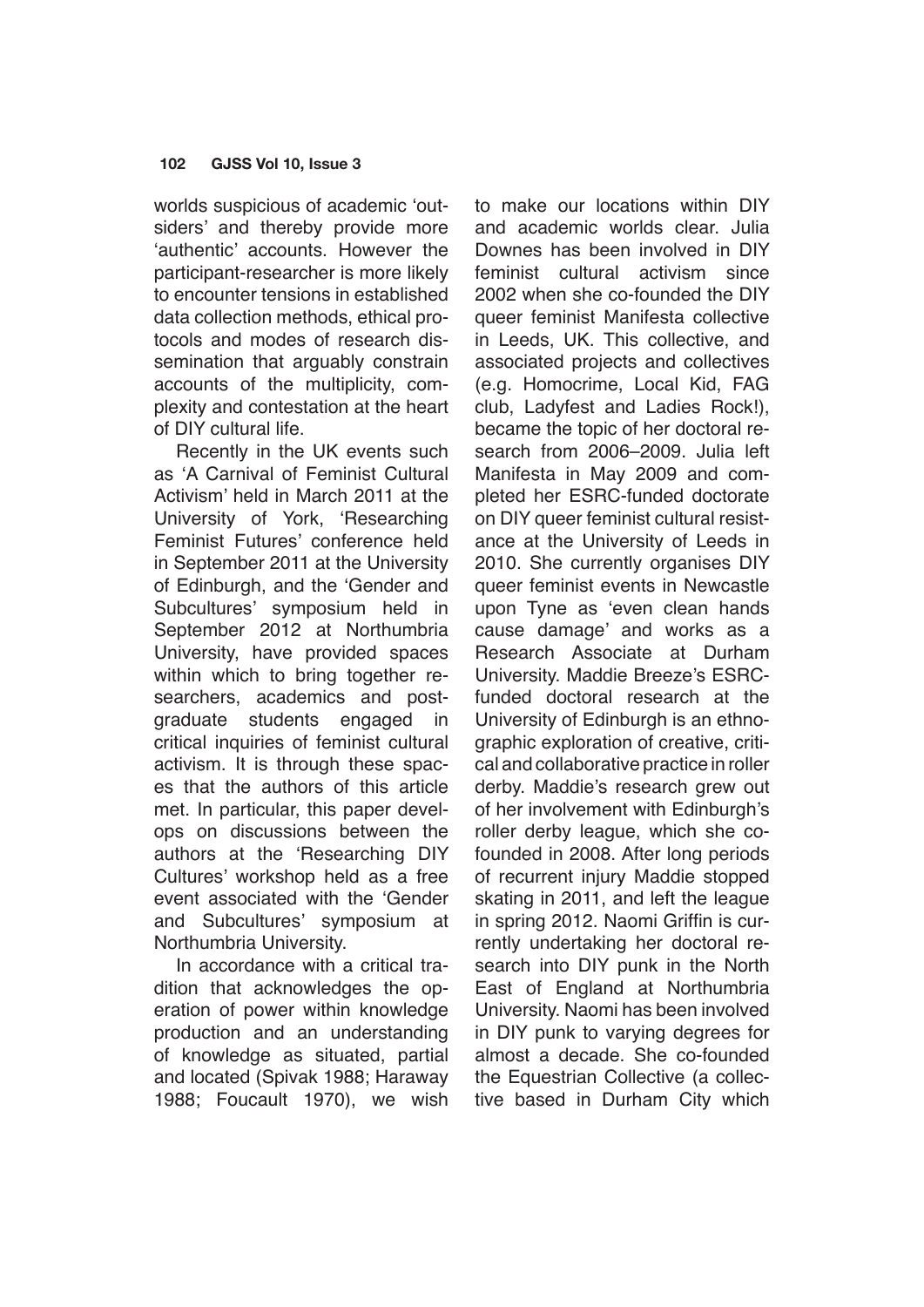worlds suspicious of academic 'outsiders' and thereby provide more 'authentic' accounts. However the participant-researcher is more likely to encounter tensions in established data collection methods, ethical protocols and modes of research dissemination that arguably constrain accounts of the multiplicity, complexity and contestation at the heart of DIY cultural life.

Recently in the UK events such as 'A Carnival of Feminist Cultural Activism' held in March 2011 at the University of York, 'Researching Feminist Futures' conference held in September 2011 at the University of Edinburgh, and the 'Gender and Subcultures' symposium held in September 2012 at Northumbria University, have provided spaces within which to bring together researchers, academics and postgraduate students engaged in critical inquiries of feminist cultural activism. It is through these spaces that the authors of this article met. In particular, this paper develops on discussions between the authors at the 'Researching DIY Cultures' workshop held as a free event associated with the 'Gender and Subcultures' symposium at Northumbria University.

In accordance with a critical tradition that acknowledges the operation of power within knowledge production and an understanding of knowledge as situated, partial and located (Spivak 1988; Haraway 1988; Foucault 1970), we wish to make our locations within DIY and academic worlds clear. Julia Downes has been involved in DIY feminist cultural activism since 2002 when she co-founded the DIY queer feminist Manifesta collective in Leeds, UK. This collective, and associated projects and collectives (e.g. Homocrime, Local Kid, FAG club, Ladyfest and Ladies Rock!), became the topic of her doctoral research from 2006–2009. Julia left Manifesta in May 2009 and completed her ESRC-funded doctorate on DIY queer feminist cultural resistance at the University of Leeds in 2010. She currently organises DIY queer feminist events in Newcastle upon Tyne as 'even clean hands cause damage' and works as a Research Associate at Durham University. Maddie Breeze's ESRCfunded doctoral research at the University of Edinburgh is an ethnographic exploration of creative, critical and collaborative practice in roller derby. Maddie's research grew out of her involvement with Edinburgh's roller derby league, which she cofounded in 2008. After long periods of recurrent injury Maddie stopped skating in 2011, and left the league in spring 2012. Naomi Griffin is currently undertaking her doctoral research into DIY punk in the North East of England at Northumbria University. Naomi has been involved in DIY punk to varying degrees for almost a decade. She co-founded the Equestrian Collective (a collective based in Durham City which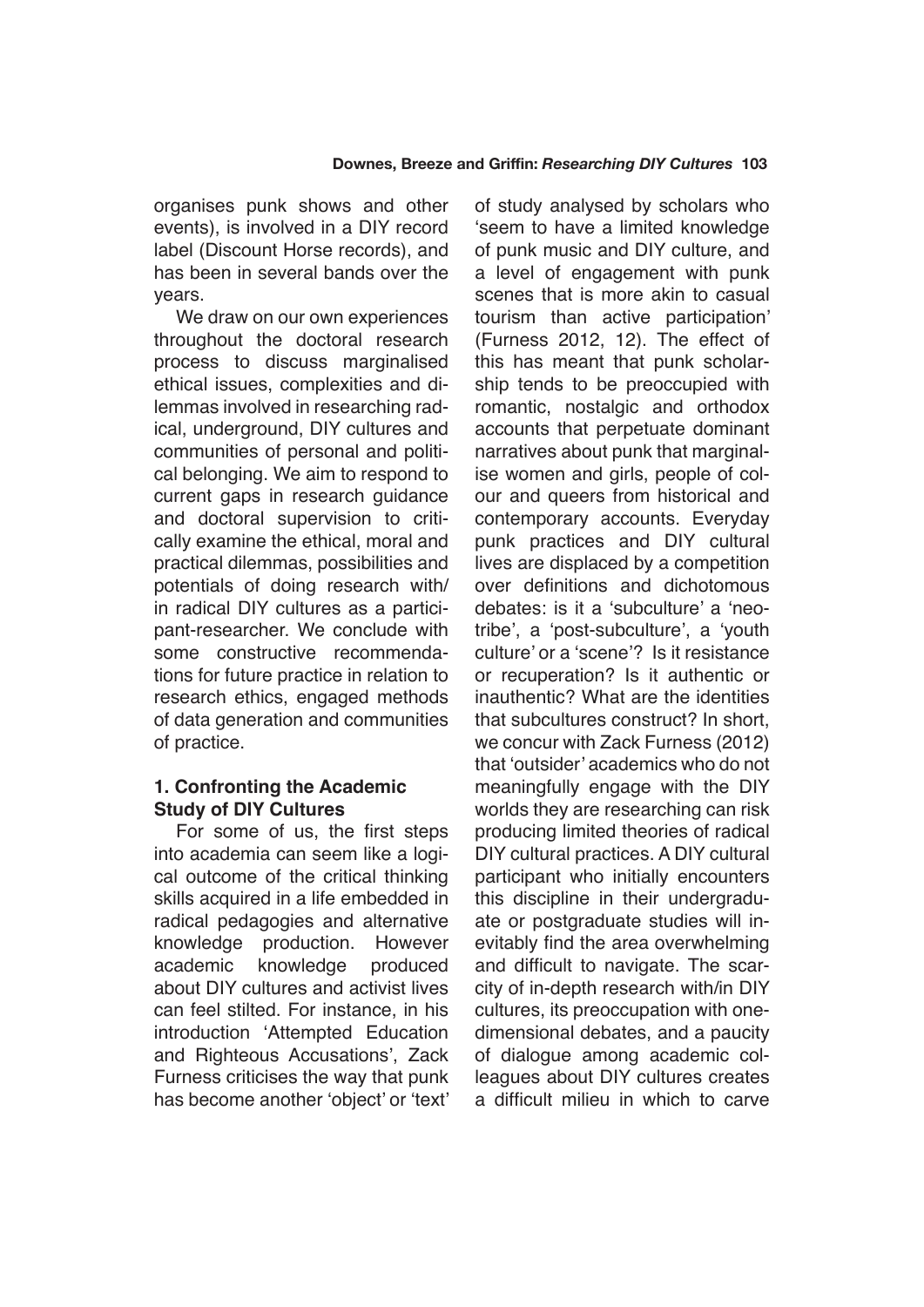organises punk shows and other events), is involved in a DIY record label (Discount Horse records), and has been in several bands over the years.

We draw on our own experiences throughout the doctoral research process to discuss marginalised ethical issues, complexities and dilemmas involved in researching radical, underground, DIY cultures and communities of personal and political belonging. We aim to respond to current gaps in research guidance and doctoral supervision to critically examine the ethical, moral and practical dilemmas, possibilities and potentials of doing research with/ in radical DIY cultures as a participant-researcher. We conclude with some constructive recommendations for future practice in relation to research ethics, engaged methods of data generation and communities of practice.

# **1. Confronting the Academic Study of DIY Cultures**

For some of us, the first steps into academia can seem like a logical outcome of the critical thinking skills acquired in a life embedded in radical pedagogies and alternative knowledge production. However academic knowledge produced about DIY cultures and activist lives can feel stilted. For instance, in his introduction 'Attempted Education and Righteous Accusations', Zack Furness criticises the way that punk has become another 'object' or 'text' of study analysed by scholars who 'seem to have a limited knowledge of punk music and DIY culture, and a level of engagement with punk scenes that is more akin to casual tourism than active participation' (Furness 2012, 12). The effect of this has meant that punk scholarship tends to be preoccupied with romantic, nostalgic and orthodox accounts that perpetuate dominant narratives about punk that marginalise women and girls, people of colour and queers from historical and contemporary accounts. Everyday punk practices and DIY cultural lives are displaced by a competition over definitions and dichotomous debates: is it a 'subculture' a 'neotribe', a 'post-subculture', a 'youth culture' or a 'scene'? Is it resistance or recuperation? Is it authentic or inauthentic? What are the identities that subcultures construct? In short, we concur with Zack Furness (2012) that 'outsider' academics who do not meaningfully engage with the DIY worlds they are researching can risk producing limited theories of radical DIY cultural practices. A DIY cultural participant who initially encounters this discipline in their undergraduate or postgraduate studies will inevitably find the area overwhelming and difficult to navigate. The scarcity of in-depth research with/in DIY cultures, its preoccupation with onedimensional debates, and a paucity of dialogue among academic colleagues about DIY cultures creates a difficult milieu in which to carve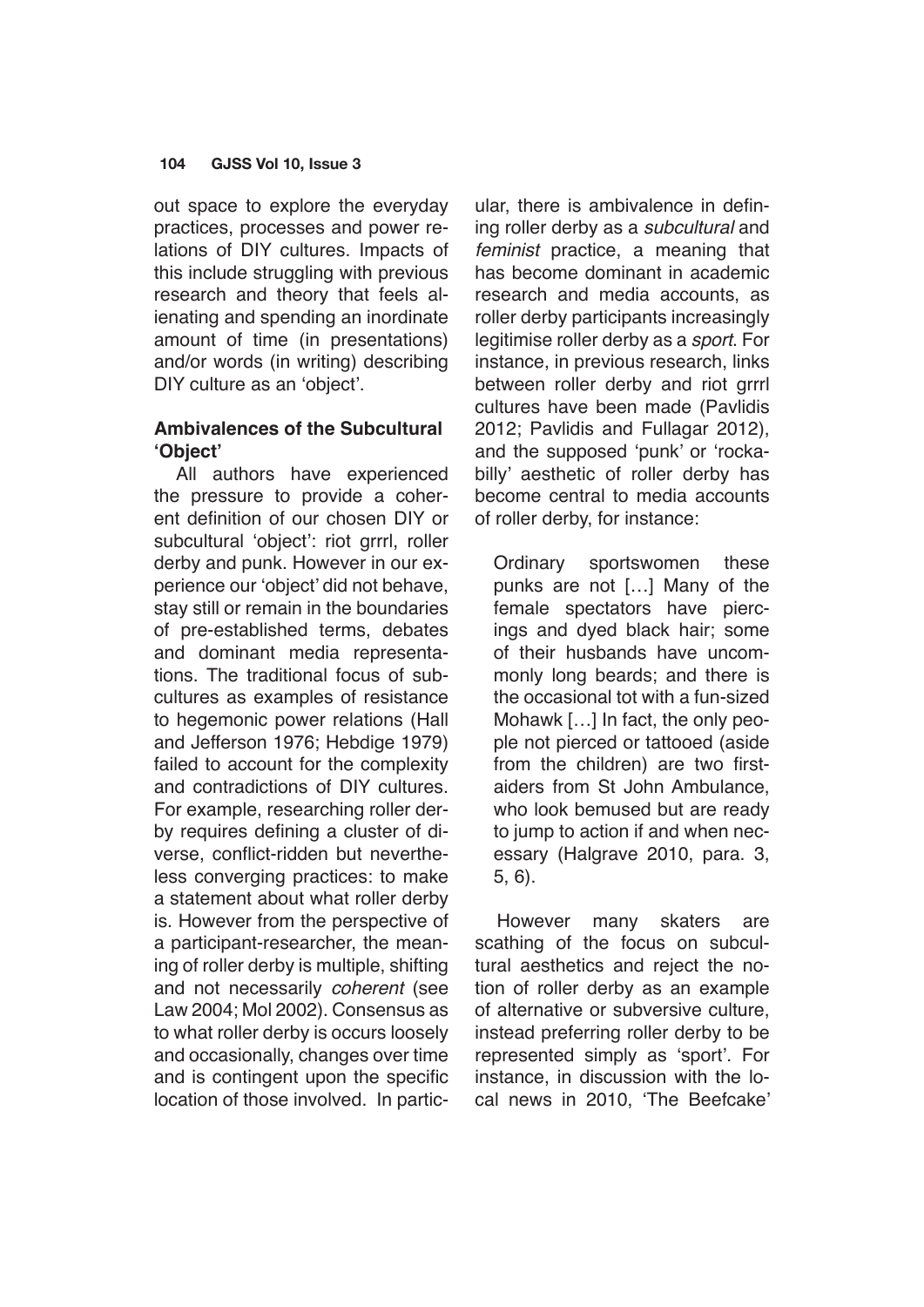out space to explore the everyday practices, processes and power relations of DIY cultures. Impacts of this include struggling with previous research and theory that feels alienating and spending an inordinate amount of time (in presentations) and/or words (in writing) describing DIY culture as an 'object'.

# **Ambivalences of the Subcultural 'Object'**

All authors have experienced the pressure to provide a coherent definition of our chosen DIY or subcultural 'object': riot grrrl, roller derby and punk. However in our experience our 'object' did not behave, stay still or remain in the boundaries of pre-established terms, debates and dominant media representations. The traditional focus of subcultures as examples of resistance to hegemonic power relations (Hall and Jefferson 1976; Hebdige 1979) failed to account for the complexity and contradictions of DIY cultures. For example, researching roller derby requires defining a cluster of diverse, conflict-ridden but nevertheless converging practices: to make a statement about what roller derby is. However from the perspective of a participant-researcher, the meaning of roller derby is multiple, shifting and not necessarily *coherent* (see Law 2004; Mol 2002). Consensus as to what roller derby is occurs loosely and occasionally, changes over time and is contingent upon the specific location of those involved. In particular, there is ambivalence in defining roller derby as a subcultural and *feminist* practice, a meaning that has become dominant in academic research and media accounts, as roller derby participants increasingly legitimise roller derby as a *sport*. For instance, in previous research, links between roller derby and riot grrrl cultures have been made (Pavlidis 2012; Pavlidis and Fullagar 2012), and the supposed 'punk' or 'rockabilly' aesthetic of roller derby has become central to media accounts of roller derby, for instance:

Ordinary sportswomen these punks are not […] Many of the female spectators have piercings and dyed black hair; some of their husbands have uncommonly long beards; and there is the occasional tot with a fun-sized Mohawk […] In fact, the only people not pierced or tattooed (aside from the children) are two firstaiders from St John Ambulance, who look bemused but are ready to jump to action if and when necessary (Halgrave 2010, para. 3, 5, 6).

However many skaters are scathing of the focus on subcultural aesthetics and reject the notion of roller derby as an example of alternative or subversive culture, instead preferring roller derby to be represented simply as 'sport'. For instance, in discussion with the local news in 2010, 'The Beefcake'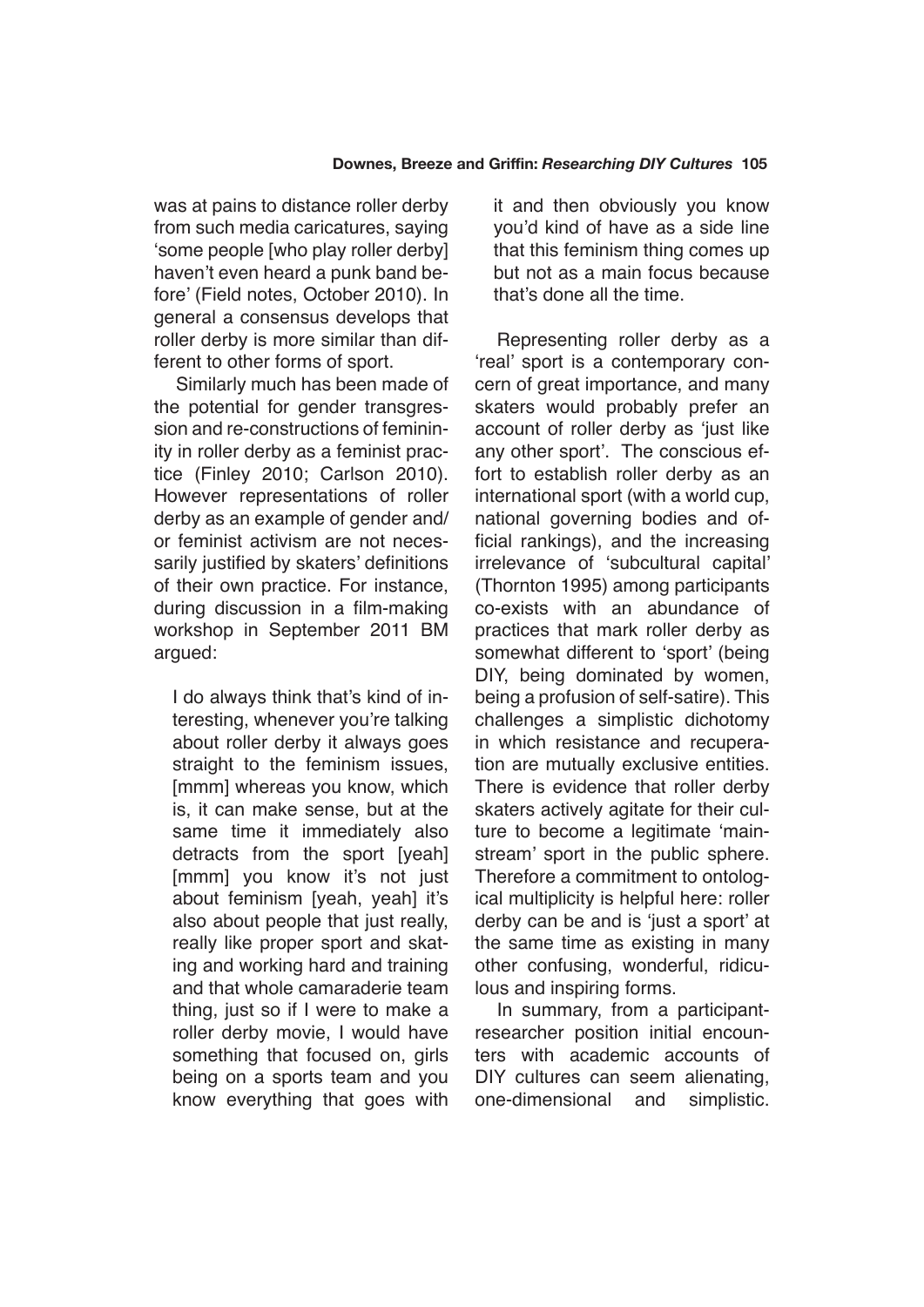was at pains to distance roller derby from such media caricatures, saying 'some people [who play roller derby] haven't even heard a punk band before' (Field notes, October 2010). In general a consensus develops that roller derby is more similar than different to other forms of sport.

Similarly much has been made of the potential for gender transgression and re-constructions of femininity in roller derby as a feminist practice (Finley 2010; Carlson 2010). However representations of roller derby as an example of gender and/ or feminist activism are not necessarily justified by skaters' definitions of their own practice. For instance, during discussion in a film-making workshop in September 2011 BM argued:

I do always think that's kind of interesting, whenever you're talking about roller derby it always goes straight to the feminism issues, [mmm] whereas you know, which is, it can make sense, but at the same time it immediately also detracts from the sport [yeah] [mmm] you know it's not just about feminism [yeah, yeah] it's also about people that just really, really like proper sport and skating and working hard and training and that whole camaraderie team thing, just so if I were to make a roller derby movie, I would have something that focused on, girls being on a sports team and you know everything that goes with it and then obviously you know you'd kind of have as a side line that this feminism thing comes up but not as a main focus because that's done all the time.

Representing roller derby as a 'real' sport is a contemporary concern of great importance, and many skaters would probably prefer an account of roller derby as 'just like any other sport'. The conscious effort to establish roller derby as an international sport (with a world cup, national governing bodies and official rankings), and the increasing irrelevance of 'subcultural capital' (Thornton 1995) among participants co-exists with an abundance of practices that mark roller derby as somewhat different to 'sport' (being DIY, being dominated by women, being a profusion of self-satire). This challenges a simplistic dichotomy in which resistance and recuperation are mutually exclusive entities. There is evidence that roller derby skaters actively agitate for their culture to become a legitimate 'mainstream' sport in the public sphere. Therefore a commitment to ontological multiplicity is helpful here: roller derby can be and is 'just a sport' at the same time as existing in many other confusing, wonderful, ridiculous and inspiring forms.

In summary, from a participantresearcher position initial encounters with academic accounts of DIY cultures can seem alienating, one-dimensional and simplistic.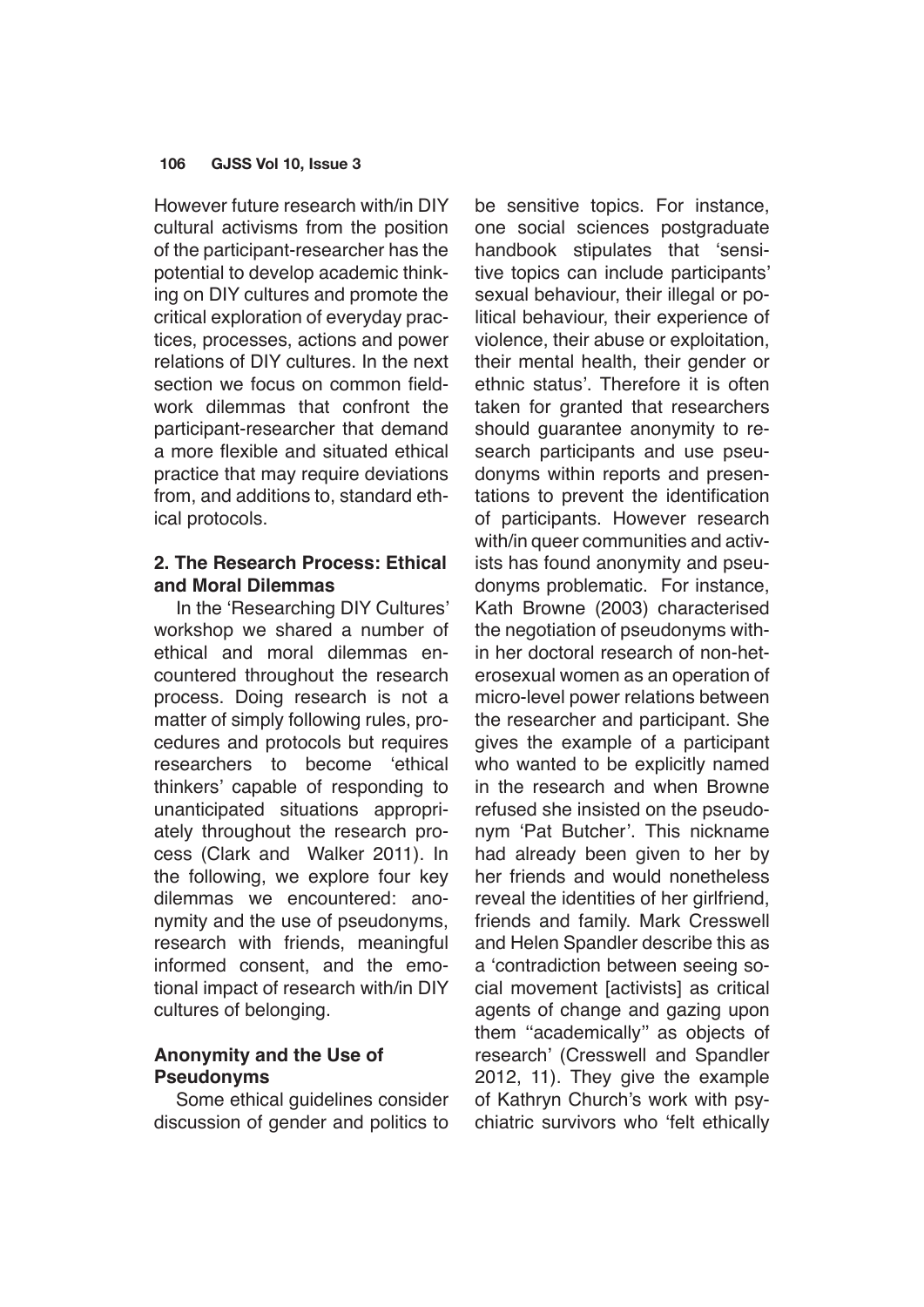However future research with/in DIY cultural activisms from the position of the participant-researcher has the potential to develop academic thinking on DIY cultures and promote the critical exploration of everyday practices, processes, actions and power relations of DIY cultures. In the next section we focus on common fieldwork dilemmas that confront the participant-researcher that demand a more flexible and situated ethical practice that may require deviations from, and additions to, standard ethical protocols.

## **2. The Research Process: Ethical and Moral Dilemmas**

In the 'Researching DIY Cultures' workshop we shared a number of ethical and moral dilemmas encountered throughout the research process. Doing research is not a matter of simply following rules, procedures and protocols but requires researchers to become 'ethical thinkers' capable of responding to unanticipated situations appropriately throughout the research process (Clark and Walker 2011). In the following, we explore four key dilemmas we encountered: anonymity and the use of pseudonyms, research with friends, meaningful informed consent, and the emotional impact of research with/in DIY cultures of belonging.

# **Anonymity and the Use of Pseudonyms**

Some ethical guidelines consider discussion of gender and politics to be sensitive topics. For instance, one social sciences postgraduate handbook stipulates that 'sensitive topics can include participants' sexual behaviour, their illegal or political behaviour, their experience of violence, their abuse or exploitation, their mental health, their gender or ethnic status'. Therefore it is often taken for granted that researchers should guarantee anonymity to research participants and use pseudonyms within reports and presentations to prevent the identification of participants. However research with/in queer communities and activists has found anonymity and pseudonyms problematic. For instance, Kath Browne (2003) characterised the negotiation of pseudonyms within her doctoral research of non-heterosexual women as an operation of micro-level power relations between the researcher and participant. She gives the example of a participant who wanted to be explicitly named in the research and when Browne refused she insisted on the pseudonym 'Pat Butcher'. This nickname had already been given to her by her friends and would nonetheless reveal the identities of her girlfriend, friends and family. Mark Cresswell and Helen Spandler describe this as a 'contradiction between seeing social movement [activists] as critical agents of change and gazing upon them ''academically'' as objects of research' (Cresswell and Spandler 2012, 11). They give the example of Kathryn Church's work with psychiatric survivors who 'felt ethically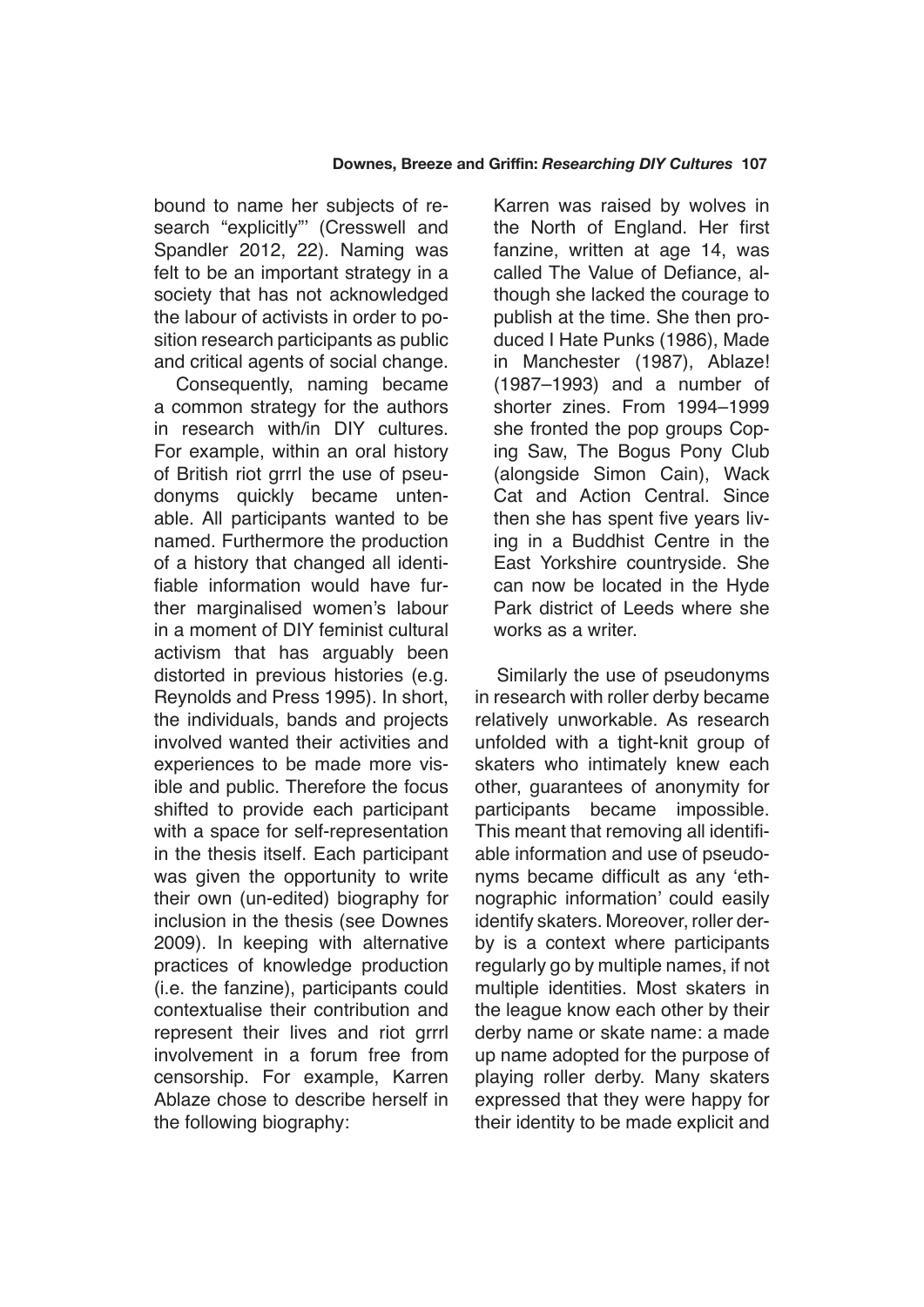bound to name her subjects of research "explicitly" (Cresswell and Spandler 2012, 22). Naming was felt to be an important strategy in a society that has not acknowledged the labour of activists in order to position research participants as public and critical agents of social change.

Consequently, naming became a common strategy for the authors in research with/in DIY cultures. For example, within an oral history of British riot grrrl the use of pseudonyms quickly became untenable. All participants wanted to be named. Furthermore the production of a history that changed all identifiable information would have further marginalised women's labour in a moment of DIY feminist cultural activism that has arguably been distorted in previous histories (e.g. Reynolds and Press 1995). In short, the individuals, bands and projects involved wanted their activities and experiences to be made more visible and public. Therefore the focus shifted to provide each participant with a space for self-representation in the thesis itself. Each participant was given the opportunity to write their own (un-edited) biography for inclusion in the thesis (see Downes 2009). In keeping with alternative practices of knowledge production (i.e. the fanzine), participants could contextualise their contribution and represent their lives and riot grrrl involvement in a forum free from censorship. For example, Karren Ablaze chose to describe herself in the following biography:

Karren was raised by wolves in the North of England. Her first fanzine, written at age 14, was called The Value of Defiance, although she lacked the courage to publish at the time. She then produced I Hate Punks (1986), Made in Manchester (1987), Ablaze! (1987–1993) and a number of shorter zines. From 1994–1999 she fronted the pop groups Coping Saw, The Bogus Pony Club (alongside Simon Cain), Wack Cat and Action Central. Since then she has spent five years living in a Buddhist Centre in the East Yorkshire countryside. She can now be located in the Hyde Park district of Leeds where she works as a writer.

Similarly the use of pseudonyms in research with roller derby became relatively unworkable. As research unfolded with a tight-knit group of skaters who intimately knew each other, guarantees of anonymity for participants became impossible. This meant that removing all identifiable information and use of pseudonyms became difficult as any 'ethnographic information' could easily identify skaters. Moreover, roller derby is a context where participants regularly go by multiple names, if not multiple identities. Most skaters in the league know each other by their derby name or skate name: a made up name adopted for the purpose of playing roller derby. Many skaters expressed that they were happy for their identity to be made explicit and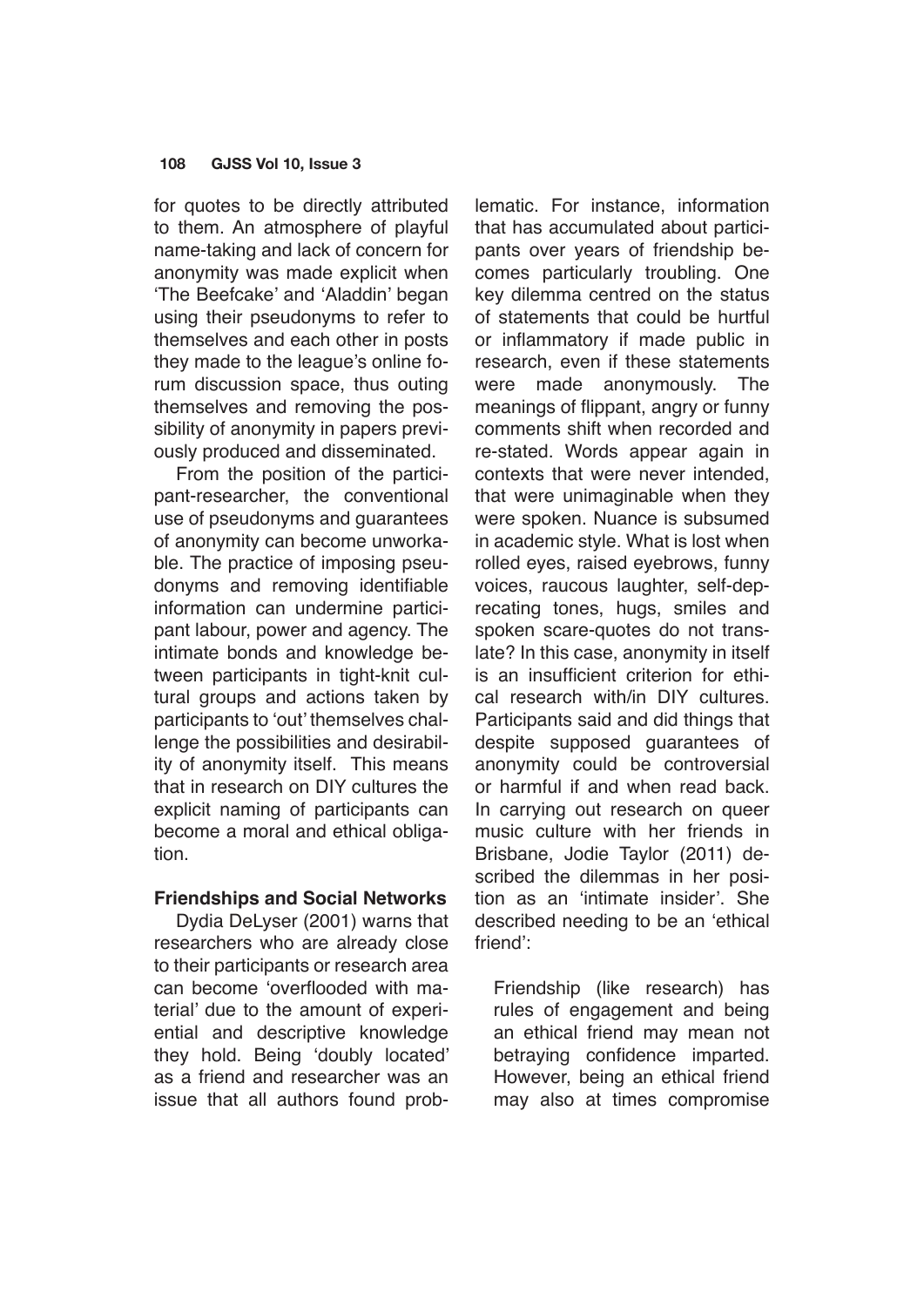for quotes to be directly attributed to them. An atmosphere of playful name-taking and lack of concern for anonymity was made explicit when 'The Beefcake' and 'Aladdin' began using their pseudonyms to refer to themselves and each other in posts they made to the league's online forum discussion space, thus outing themselves and removing the possibility of anonymity in papers previously produced and disseminated.

From the position of the participant-researcher, the conventional use of pseudonyms and guarantees of anonymity can become unworkable. The practice of imposing pseudonyms and removing identifiable information can undermine participant labour, power and agency. The intimate bonds and knowledge between participants in tight-knit cultural groups and actions taken by participants to 'out' themselves challenge the possibilities and desirability of anonymity itself. This means that in research on DIY cultures the explicit naming of participants can become a moral and ethical obligation.

## **Friendships and Social Networks**

Dydia DeLyser (2001) warns that researchers who are already close to their participants or research area can become 'overflooded with material' due to the amount of experiential and descriptive knowledge they hold. Being 'doubly located' as a friend and researcher was an issue that all authors found problematic. For instance, information that has accumulated about participants over years of friendship becomes particularly troubling. One key dilemma centred on the status of statements that could be hurtful or inflammatory if made public in research, even if these statements were made anonymously. The meanings of flippant, angry or funny comments shift when recorded and re-stated. Words appear again in contexts that were never intended, that were unimaginable when they were spoken. Nuance is subsumed in academic style. What is lost when rolled eyes, raised eyebrows, funny voices, raucous laughter, self-deprecating tones, hugs, smiles and spoken scare-quotes do not translate? In this case, anonymity in itself is an insufficient criterion for ethical research with/in DIY cultures. Participants said and did things that despite supposed guarantees of anonymity could be controversial or harmful if and when read back. In carrying out research on queer music culture with her friends in Brisbane, Jodie Taylor (2011) described the dilemmas in her position as an 'intimate insider'. She described needing to be an 'ethical friend':

Friendship (like research) has rules of engagement and being an ethical friend may mean not betraying confidence imparted. However, being an ethical friend may also at times compromise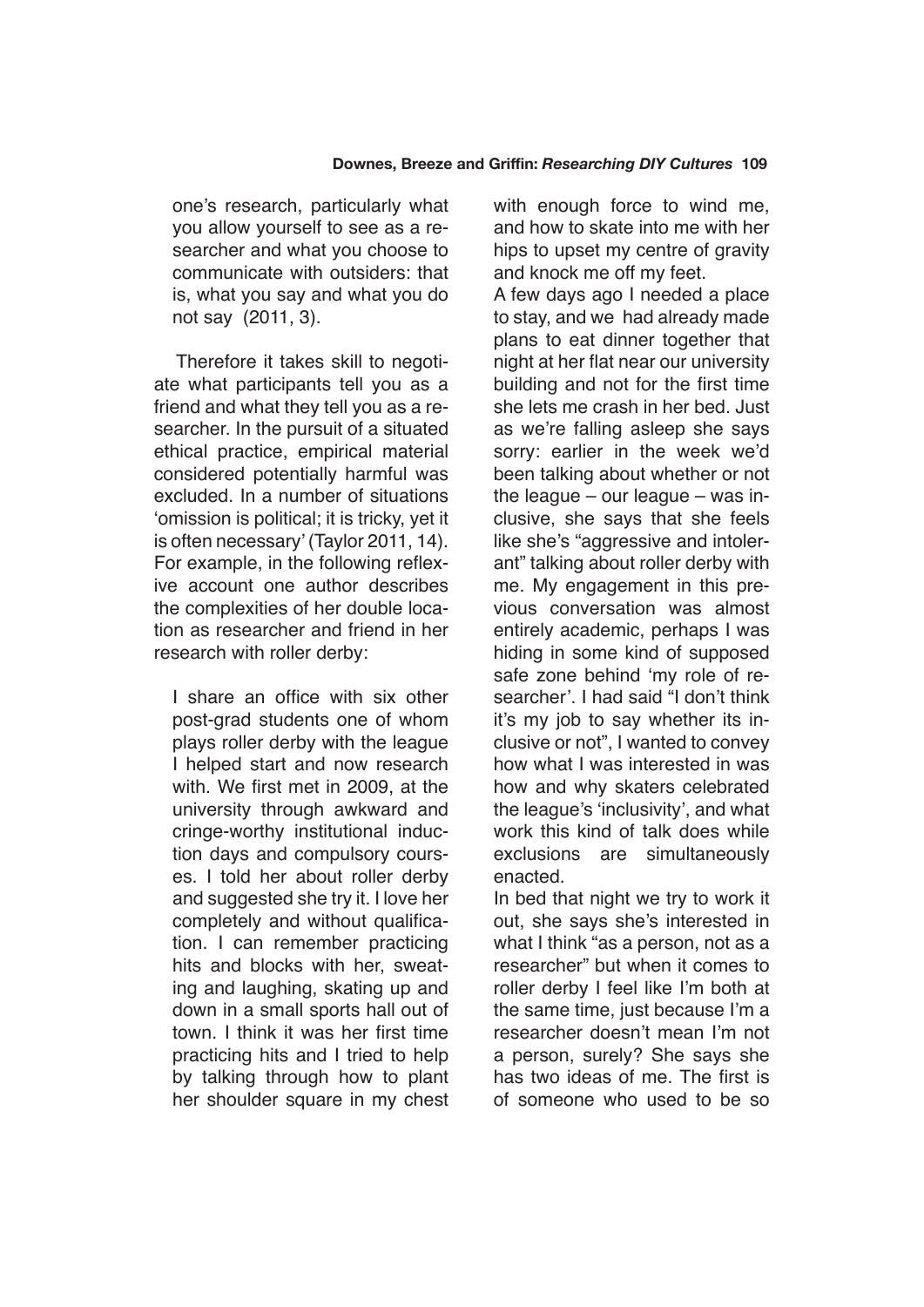one's research, particularly what you allow yourself to see as a researcher and what you choose to communicate with outsiders: that is, what you say and what you do not say (2011, 3).

Therefore it takes skill to negotiate what participants tell you as a friend and what they tell you as a researcher. In the pursuit of a situated ethical practice, empirical material considered potentially harmful was excluded. In a number of situations 'omission is political; it is tricky, yet it is often necessary' (Taylor 2011, 14). For example, in the following reflexive account one author describes the complexities of her double location as researcher and friend in her research with roller derby:

I share an office with six other post-grad students one of whom plays roller derby with the league I helped start and now research with. We first met in 2009, at the university through awkward and cringe-worthy institutional induction days and compulsory courses. I told her about roller derby and suggested she try it. I love her completely and without qualification. I can remember practicing hits and blocks with her, sweating and laughing, skating up and down in a small sports hall out of town. I think it was her first time practicing hits and I tried to help by talking through how to plant her shoulder square in my chest with enough force to wind me, and how to skate into me with her hips to upset my centre of gravity and knock me off my feet.

A few days ago I needed a place to stay, and we had already made plans to eat dinner together that night at her flat near our university building and not for the first time she lets me crash in her bed. Just as we're falling asleep she says sorry: earlier in the week we'd been talking about whether or not the league – our league – was inclusive, she says that she feels like she's "aggressive and intolerant" talking about roller derby with me. My engagement in this previous conversation was almost entirely academic, perhaps I was hiding in some kind of supposed safe zone behind 'my role of researcher'. I had said "I don't think it's my job to say whether its inclusive or not", I wanted to convey how what I was interested in was how and why skaters celebrated the league's 'inclusivity', and what work this kind of talk does while exclusions are simultaneously enacted.

In bed that night we try to work it out, she says she's interested in what I think "as a person, not as a researcher" but when it comes to roller derby I feel like I'm both at the same time, just because I'm a researcher doesn't mean I'm not a person, surely? She says she has two ideas of me. The first is of someone who used to be so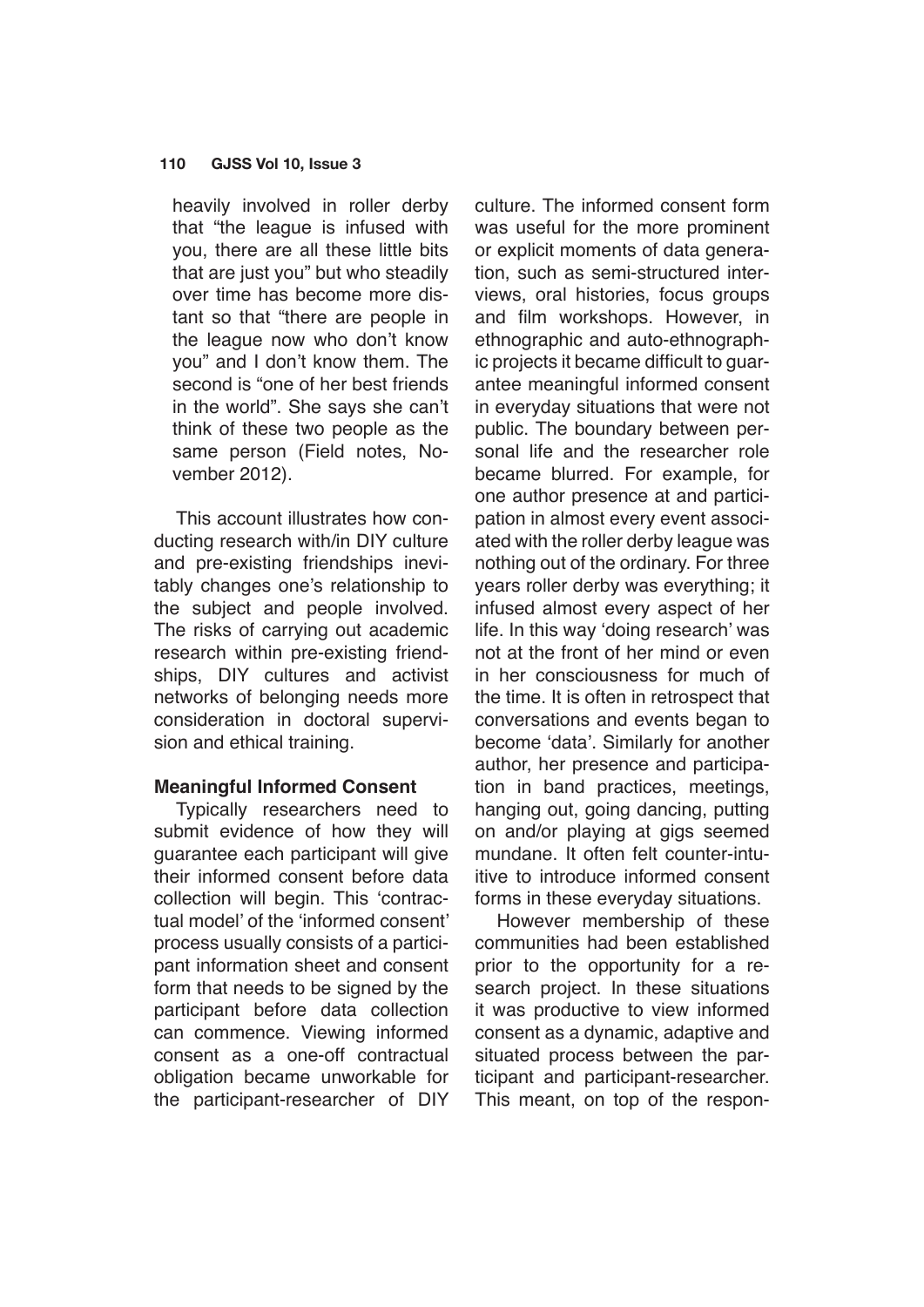heavily involved in roller derby that "the league is infused with you, there are all these little bits that are just you" but who steadily over time has become more distant so that "there are people in the league now who don't know you" and I don't know them. The second is "one of her best friends in the world". She says she can't think of these two people as the same person (Field notes, November 2012).

This account illustrates how conducting research with/in DIY culture and pre-existing friendships inevitably changes one's relationship to the subject and people involved. The risks of carrying out academic research within pre-existing friendships, DIY cultures and activist networks of belonging needs more consideration in doctoral supervision and ethical training.

## **Meaningful Informed Consent**

Typically researchers need to submit evidence of how they will guarantee each participant will give their informed consent before data collection will begin. This 'contractual model' of the 'informed consent' process usually consists of a participant information sheet and consent form that needs to be signed by the participant before data collection can commence. Viewing informed consent as a one-off contractual obligation became unworkable for the participant-researcher of DIY

culture. The informed consent form was useful for the more prominent or explicit moments of data generation, such as semi-structured interviews, oral histories, focus groups and film workshops. However, in ethnographic and auto-ethnographic projects it became difficult to guarantee meaningful informed consent in everyday situations that were not public. The boundary between personal life and the researcher role became blurred. For example, for one author presence at and participation in almost every event associated with the roller derby league was nothing out of the ordinary. For three years roller derby was everything; it infused almost every aspect of her life. In this way 'doing research' was not at the front of her mind or even in her consciousness for much of the time. It is often in retrospect that conversations and events began to become 'data'. Similarly for another author, her presence and participation in band practices, meetings, hanging out, going dancing, putting on and/or playing at gigs seemed mundane. It often felt counter-intuitive to introduce informed consent forms in these everyday situations.

However membership of these communities had been established prior to the opportunity for a research project. In these situations it was productive to view informed consent as a dynamic, adaptive and situated process between the participant and participant-researcher. This meant, on top of the respon-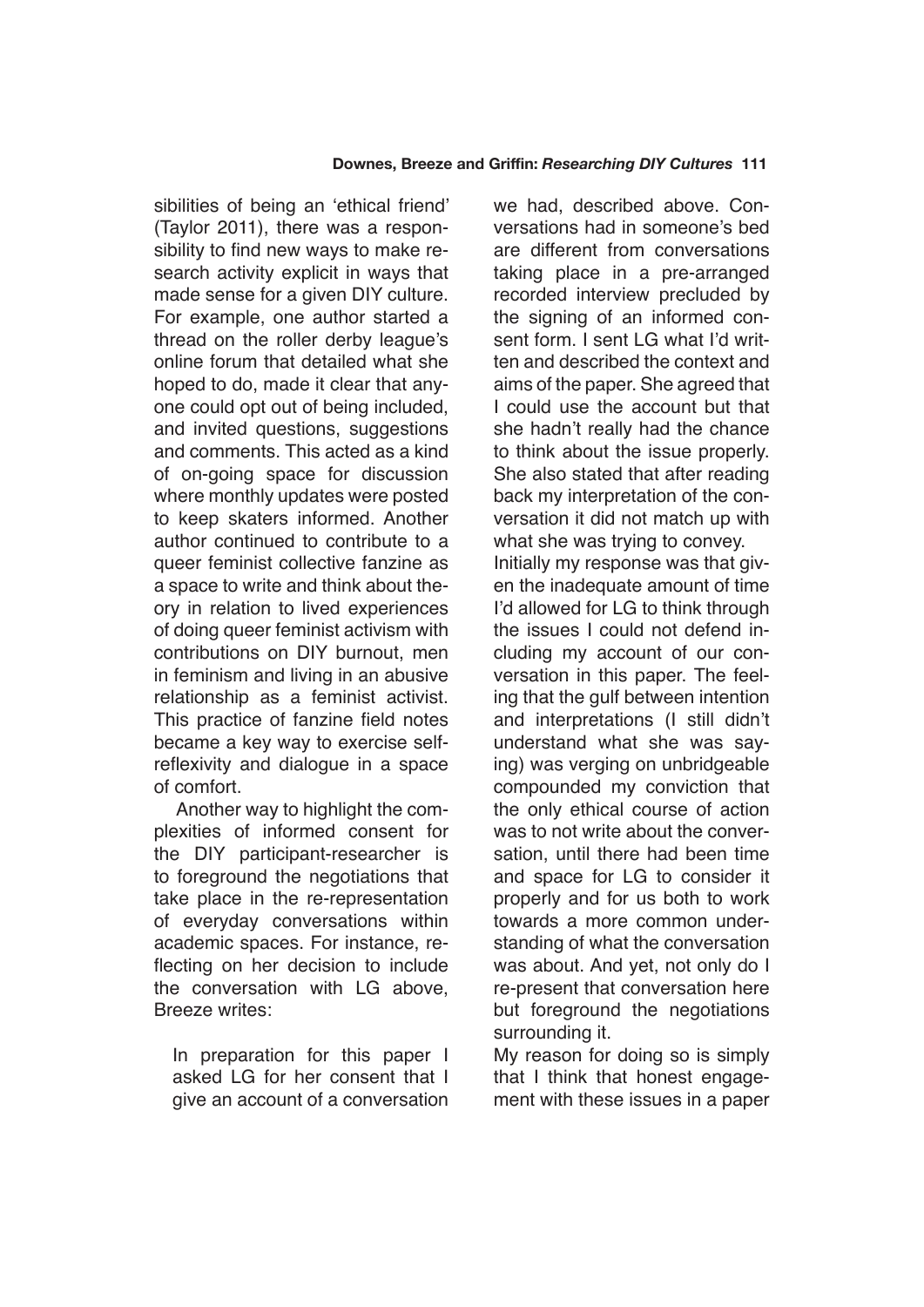sibilities of being an 'ethical friend' (Taylor 2011), there was a responsibility to find new ways to make research activity explicit in ways that made sense for a given DIY culture. For example, one author started a thread on the roller derby league's online forum that detailed what she hoped to do, made it clear that anyone could opt out of being included, and invited questions, suggestions and comments. This acted as a kind of on-going space for discussion where monthly updates were posted to keep skaters informed. Another author continued to contribute to a queer feminist collective fanzine as a space to write and think about theory in relation to lived experiences of doing queer feminist activism with contributions on DIY burnout, men in feminism and living in an abusive relationship as a feminist activist. This practice of fanzine field notes became a key way to exercise selfreflexivity and dialogue in a space of comfort.

Another way to highlight the complexities of informed consent for the DIY participant-researcher is to foreground the negotiations that take place in the re-representation of everyday conversations within academic spaces. For instance, reflecting on her decision to include the conversation with LG above, Breeze writes:

In preparation for this paper I asked LG for her consent that I give an account of a conversation we had, described above. Conversations had in someone's bed are different from conversations taking place in a pre-arranged recorded interview precluded by the signing of an informed consent form. I sent LG what I'd written and described the context and aims of the paper. She agreed that I could use the account but that she hadn't really had the chance to think about the issue properly. She also stated that after reading back my interpretation of the conversation it did not match up with what she was trying to convey. Initially my response was that given the inadequate amount of time I'd allowed for LG to think through the issues I could not defend including my account of our conversation in this paper. The feeling that the gulf between intention and interpretations (I still didn't understand what she was saying) was verging on unbridgeable compounded my conviction that the only ethical course of action was to not write about the conversation, until there had been time and space for LG to consider it properly and for us both to work towards a more common understanding of what the conversation was about. And yet, not only do I re-present that conversation here but foreground the negotiations surrounding it.

My reason for doing so is simply that I think that honest engagement with these issues in a paper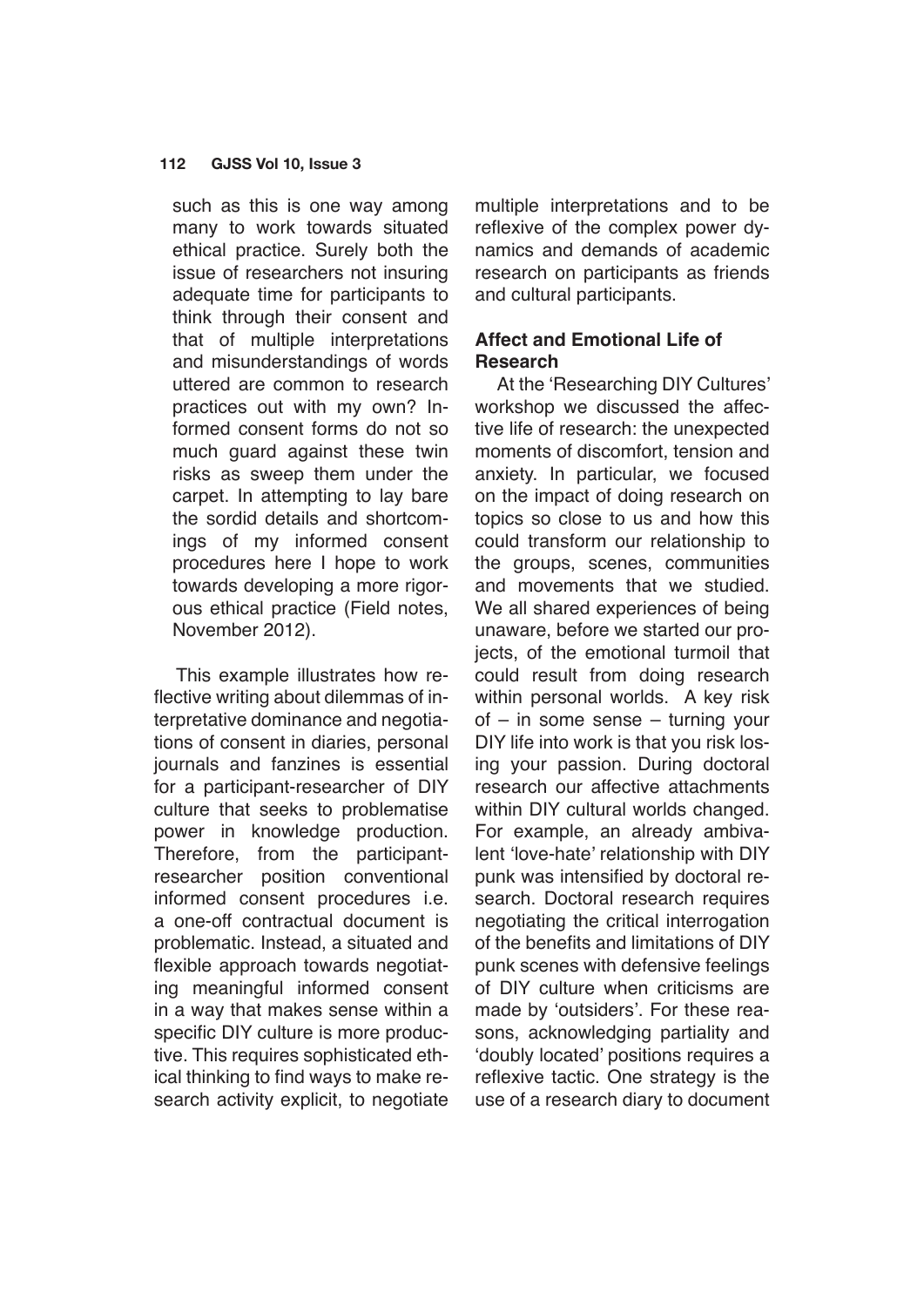such as this is one way among many to work towards situated ethical practice. Surely both the issue of researchers not insuring adequate time for participants to think through their consent and that of multiple interpretations and misunderstandings of words uttered are common to research practices out with my own? Informed consent forms do not so much guard against these twin risks as sweep them under the carpet. In attempting to lay bare the sordid details and shortcomings of my informed consent procedures here I hope to work towards developing a more rigorous ethical practice (Field notes, November 2012).

This example illustrates how reflective writing about dilemmas of interpretative dominance and negotiations of consent in diaries, personal journals and fanzines is essential for a participant-researcher of DIY culture that seeks to problematise power in knowledge production. Therefore, from the participantresearcher position conventional informed consent procedures i.e. a one-off contractual document is problematic. Instead, a situated and flexible approach towards negotiating meaningful informed consent in a way that makes sense within a specific DIY culture is more productive. This requires sophisticated ethical thinking to find ways to make research activity explicit, to negotiate multiple interpretations and to be reflexive of the complex power dynamics and demands of academic research on participants as friends and cultural participants.

# **Affect and Emotional Life of Research**

At the 'Researching DIY Cultures' workshop we discussed the affective life of research: the unexpected moments of discomfort, tension and anxiety. In particular, we focused on the impact of doing research on topics so close to us and how this could transform our relationship to the groups, scenes, communities and movements that we studied. We all shared experiences of being unaware, before we started our projects, of the emotional turmoil that could result from doing research within personal worlds. A key risk of – in some sense – turning your DIY life into work is that you risk losing your passion. During doctoral research our affective attachments within DIY cultural worlds changed. For example, an already ambivalent 'love-hate' relationship with DIY punk was intensified by doctoral research. Doctoral research requires negotiating the critical interrogation of the benefits and limitations of DIY punk scenes with defensive feelings of DIY culture when criticisms are made by 'outsiders'. For these reasons, acknowledging partiality and 'doubly located' positions requires a reflexive tactic. One strategy is the use of a research diary to document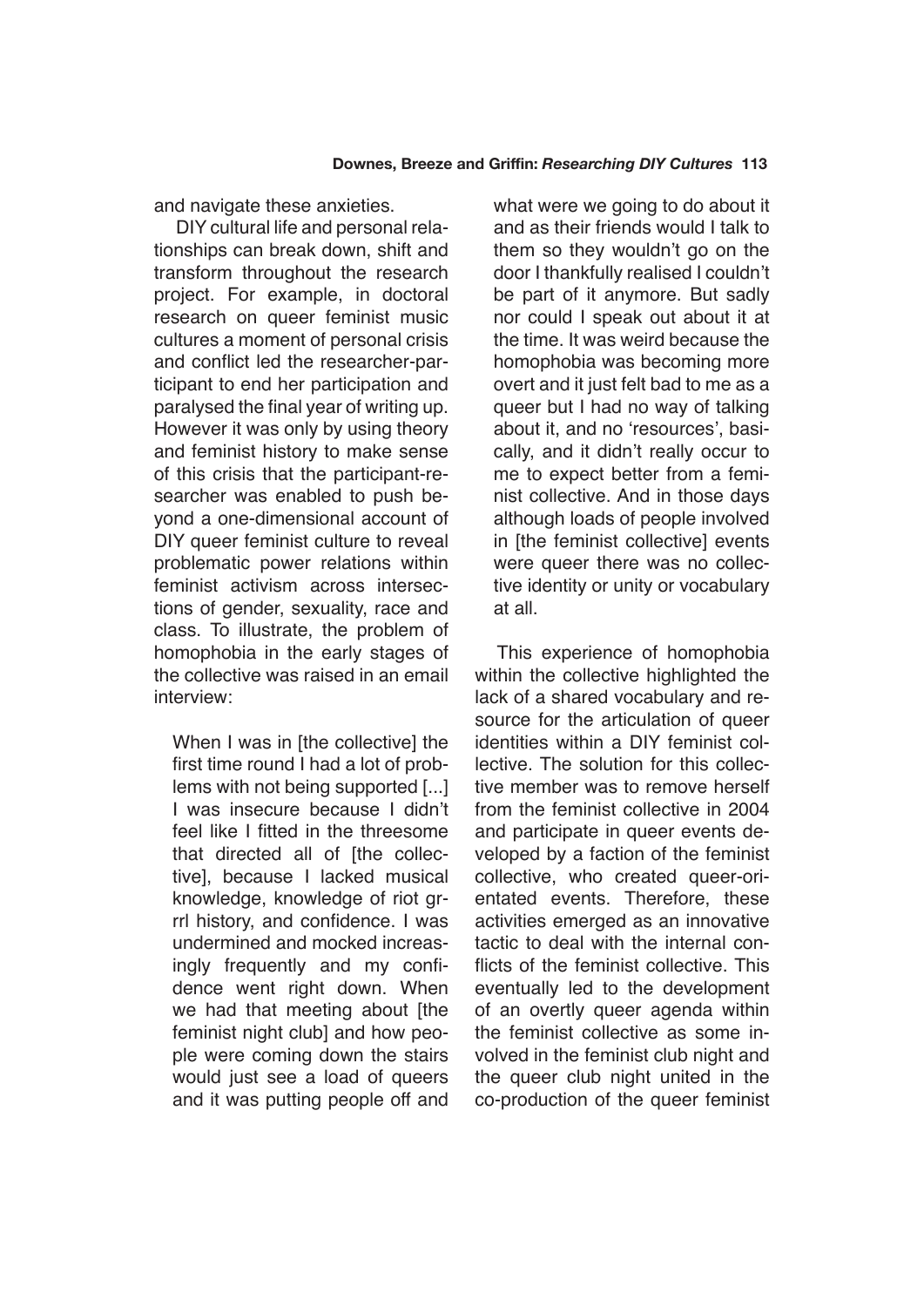and navigate these anxieties.

DIY cultural life and personal relationships can break down, shift and transform throughout the research project. For example, in doctoral research on queer feminist music cultures a moment of personal crisis and conflict led the researcher-participant to end her participation and paralysed the final year of writing up. However it was only by using theory and feminist history to make sense of this crisis that the participant-researcher was enabled to push beyond a one-dimensional account of DIY queer feminist culture to reveal problematic power relations within feminist activism across intersections of gender, sexuality, race and class. To illustrate, the problem of homophobia in the early stages of the collective was raised in an email interview:

When I was in [the collective] the first time round I had a lot of problems with not being supported [...] I was insecure because I didn't feel like I fitted in the threesome that directed all of [the collective], because I lacked musical knowledge, knowledge of riot grrrl history, and confidence. I was undermined and mocked increasingly frequently and my confidence went right down. When we had that meeting about [the feminist night club] and how people were coming down the stairs would just see a load of queers and it was putting people off and what were we going to do about it and as their friends would I talk to them so they wouldn't go on the door I thankfully realised I couldn't be part of it anymore. But sadly nor could I speak out about it at the time. It was weird because the homophobia was becoming more overt and it just felt bad to me as a queer but I had no way of talking about it, and no 'resources', basically, and it didn't really occur to me to expect better from a feminist collective. And in those days although loads of people involved in [the feminist collective] events were queer there was no collective identity or unity or vocabulary at all.

This experience of homophobia within the collective highlighted the lack of a shared vocabulary and resource for the articulation of queer identities within a DIY feminist collective. The solution for this collective member was to remove herself from the feminist collective in 2004 and participate in queer events developed by a faction of the feminist collective, who created queer-orientated events. Therefore, these activities emerged as an innovative tactic to deal with the internal conflicts of the feminist collective. This eventually led to the development of an overtly queer agenda within the feminist collective as some involved in the feminist club night and the queer club night united in the co-production of the queer feminist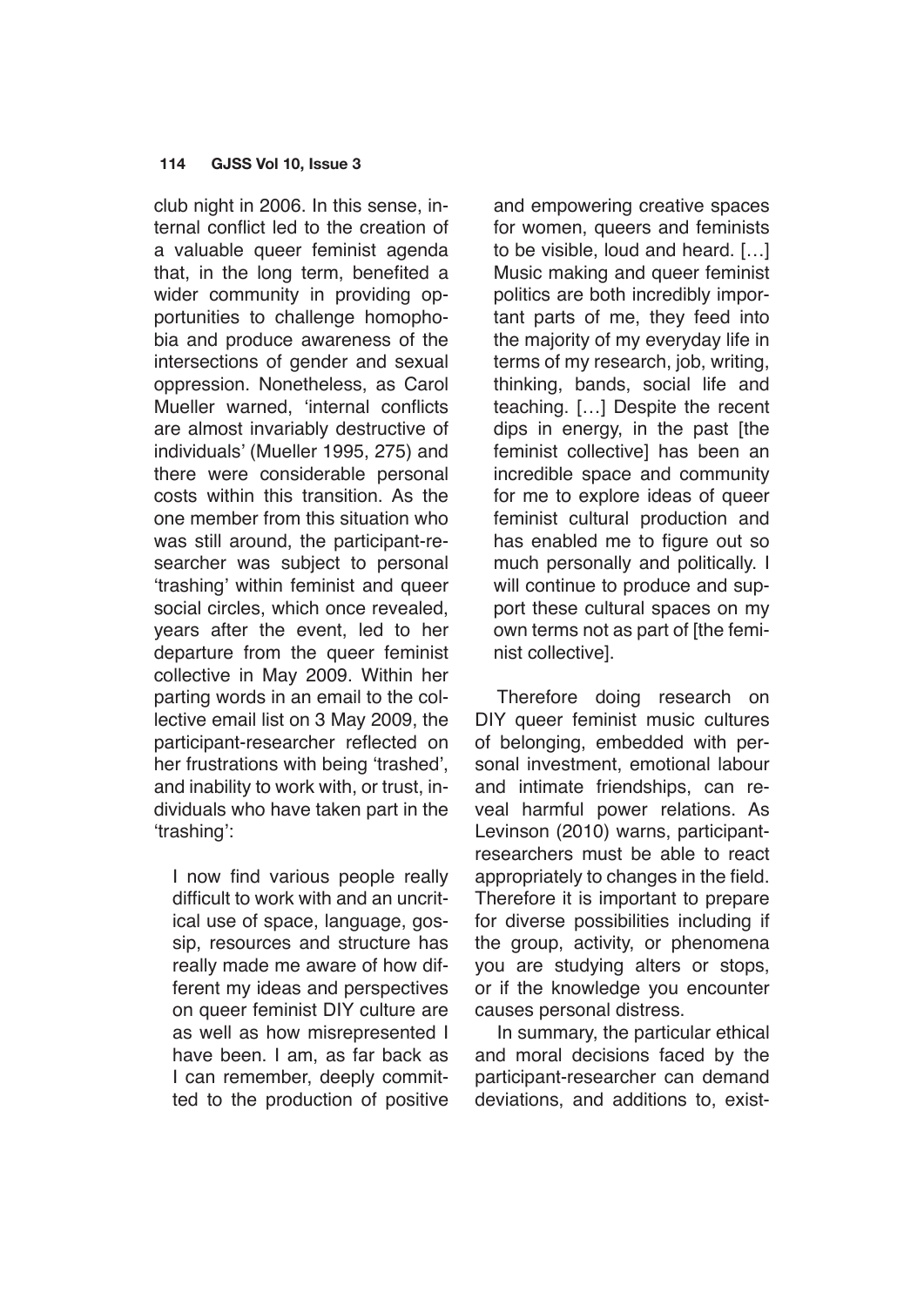club night in 2006. In this sense, internal conflict led to the creation of a valuable queer feminist agenda that, in the long term, benefited a wider community in providing opportunities to challenge homophobia and produce awareness of the intersections of gender and sexual oppression. Nonetheless, as Carol Mueller warned, 'internal conflicts are almost invariably destructive of individuals' (Mueller 1995, 275) and there were considerable personal costs within this transition. As the one member from this situation who was still around, the participant-researcher was subject to personal 'trashing' within feminist and queer social circles, which once revealed, years after the event, led to her departure from the queer feminist collective in May 2009. Within her parting words in an email to the collective email list on 3 May 2009, the participant-researcher reflected on her frustrations with being 'trashed', and inability to work with, or trust, individuals who have taken part in the 'trashing':

I now find various people really difficult to work with and an uncritical use of space, language, gossip, resources and structure has really made me aware of how different my ideas and perspectives on queer feminist DIY culture are as well as how misrepresented I have been. I am, as far back as I can remember, deeply committed to the production of positive and empowering creative spaces for women, queers and feminists to be visible, loud and heard. […] Music making and queer feminist politics are both incredibly important parts of me, they feed into the majority of my everyday life in terms of my research, job, writing, thinking, bands, social life and teaching. […] Despite the recent dips in energy, in the past [the feminist collective] has been an incredible space and community for me to explore ideas of queer feminist cultural production and has enabled me to figure out so much personally and politically. I will continue to produce and support these cultural spaces on my own terms not as part of [the feminist collective].

Therefore doing research on DIY queer feminist music cultures of belonging, embedded with personal investment, emotional labour and intimate friendships, can reveal harmful power relations. As Levinson (2010) warns, participantresearchers must be able to react appropriately to changes in the field. Therefore it is important to prepare for diverse possibilities including if the group, activity, or phenomena you are studying alters or stops, or if the knowledge you encounter causes personal distress.

In summary, the particular ethical and moral decisions faced by the participant-researcher can demand deviations, and additions to, exist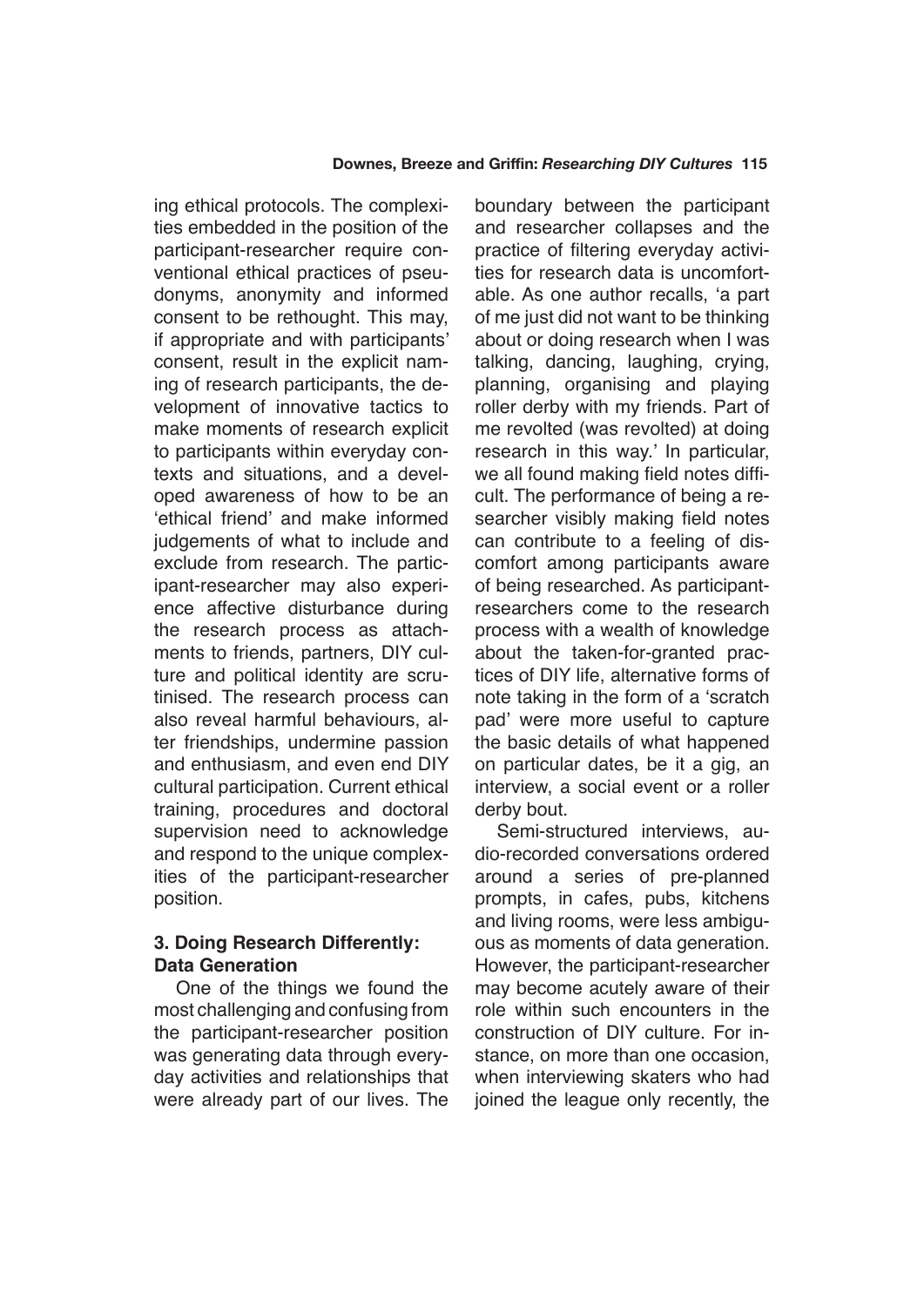ing ethical protocols. The complexities embedded in the position of the participant-researcher require conventional ethical practices of pseudonyms, anonymity and informed consent to be rethought. This may, if appropriate and with participants' consent, result in the explicit naming of research participants, the development of innovative tactics to make moments of research explicit to participants within everyday contexts and situations, and a developed awareness of how to be an 'ethical friend' and make informed judgements of what to include and exclude from research. The participant-researcher may also experience affective disturbance during the research process as attachments to friends, partners, DIY culture and political identity are scrutinised. The research process can also reveal harmful behaviours, alter friendships, undermine passion and enthusiasm, and even end DIY cultural participation. Current ethical training, procedures and doctoral supervision need to acknowledge and respond to the unique complexities of the participant-researcher position.

# **3. Doing Research Differently: Data Generation**

One of the things we found the most challenging and confusing from the participant-researcher position was generating data through everyday activities and relationships that were already part of our lives. The boundary between the participant and researcher collapses and the practice of filtering everyday activities for research data is uncomfortable. As one author recalls, 'a part of me just did not want to be thinking about or doing research when I was talking, dancing, laughing, crying, planning, organising and playing roller derby with my friends. Part of me revolted (was revolted) at doing research in this way.' In particular, we all found making field notes difficult. The performance of being a researcher visibly making field notes can contribute to a feeling of discomfort among participants aware of being researched. As participantresearchers come to the research process with a wealth of knowledge about the taken-for-granted practices of DIY life, alternative forms of note taking in the form of a 'scratch pad' were more useful to capture the basic details of what happened on particular dates, be it a gig, an interview, a social event or a roller derby bout.

Semi-structured interviews, audio-recorded conversations ordered around a series of pre-planned prompts, in cafes, pubs, kitchens and living rooms, were less ambiguous as moments of data generation. However, the participant-researcher may become acutely aware of their role within such encounters in the construction of DIY culture. For instance, on more than one occasion, when interviewing skaters who had joined the league only recently, the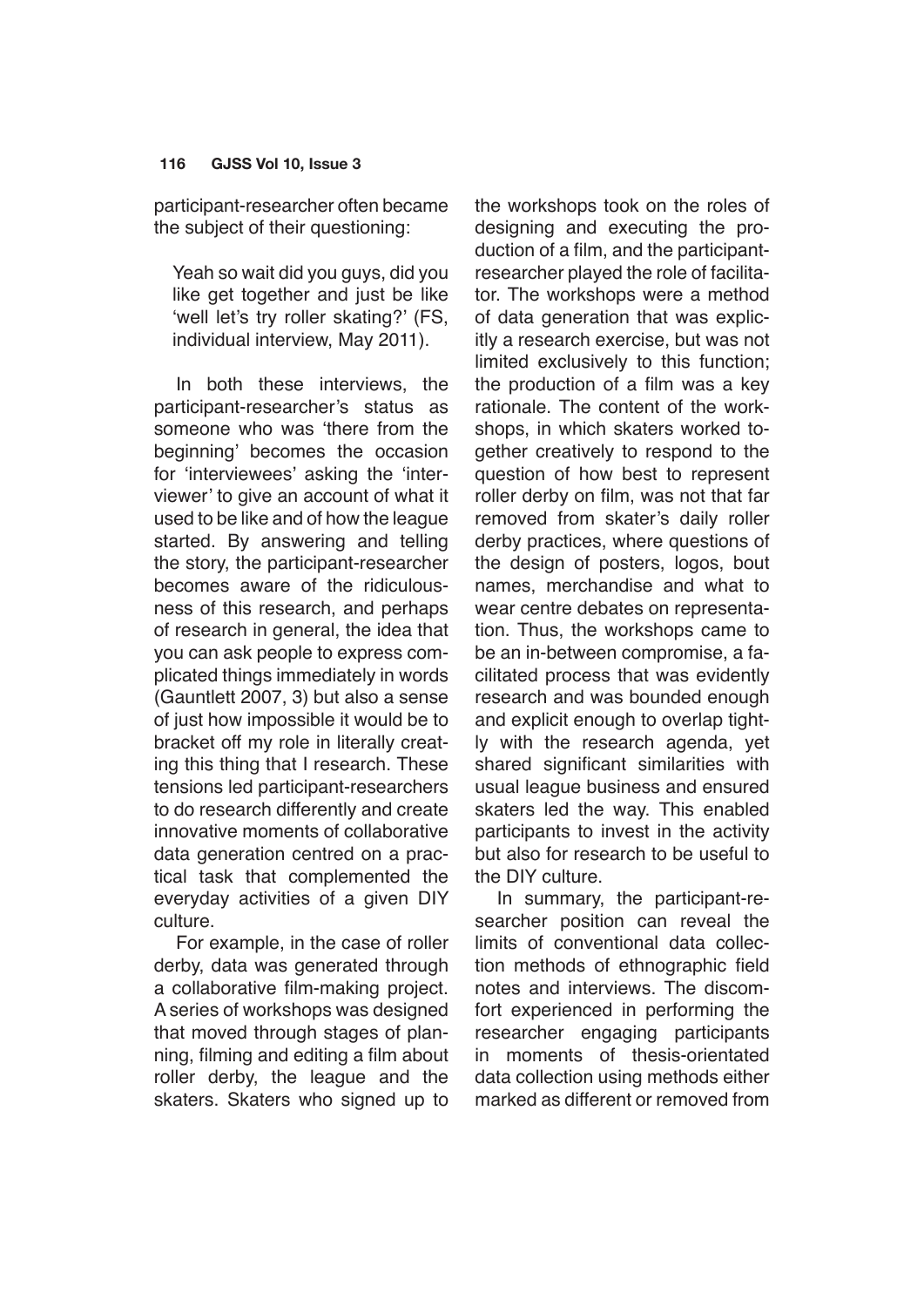participant-researcher often became the subject of their questioning:

Yeah so wait did you guys, did you like get together and just be like 'well let's try roller skating?' (FS, individual interview, May 2011).

In both these interviews, the participant-researcher's status as someone who was 'there from the beginning' becomes the occasion for 'interviewees' asking the 'interviewer' to give an account of what it used to be like and of how the league started. By answering and telling the story, the participant-researcher becomes aware of the ridiculousness of this research, and perhaps of research in general, the idea that you can ask people to express complicated things immediately in words (Gauntlett 2007, 3) but also a sense of just how impossible it would be to bracket off my role in literally creating this thing that I research. These tensions led participant-researchers to do research differently and create innovative moments of collaborative data generation centred on a practical task that complemented the everyday activities of a given DIY culture.

For example, in the case of roller derby, data was generated through a collaborative film-making project. A series of workshops was designed that moved through stages of planning, filming and editing a film about roller derby, the league and the skaters. Skaters who signed up to the workshops took on the roles of designing and executing the production of a film, and the participantresearcher played the role of facilitator. The workshops were a method of data generation that was explicitly a research exercise, but was not limited exclusively to this function; the production of a film was a key rationale. The content of the workshops, in which skaters worked together creatively to respond to the question of how best to represent roller derby on film, was not that far removed from skater's daily roller derby practices, where questions of the design of posters, logos, bout names, merchandise and what to wear centre debates on representation. Thus, the workshops came to be an in-between compromise, a facilitated process that was evidently research and was bounded enough and explicit enough to overlap tightly with the research agenda, yet shared significant similarities with usual league business and ensured skaters led the way. This enabled participants to invest in the activity but also for research to be useful to the DIY culture.

In summary, the participant-researcher position can reveal the limits of conventional data collection methods of ethnographic field notes and interviews. The discomfort experienced in performing the researcher engaging participants in moments of thesis-orientated data collection using methods either marked as different or removed from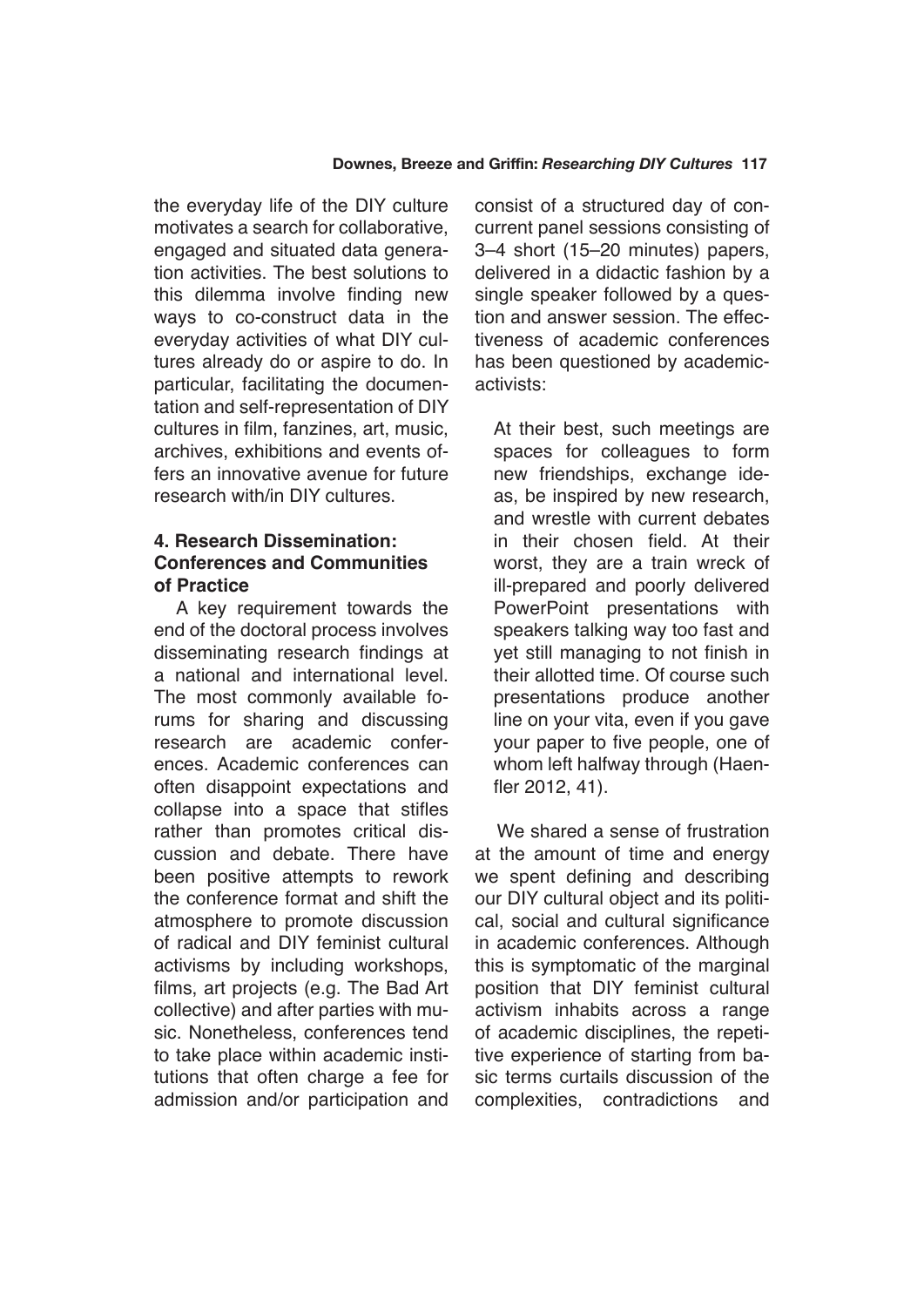the everyday life of the DIY culture motivates a search for collaborative, engaged and situated data generation activities. The best solutions to this dilemma involve finding new ways to co-construct data in the everyday activities of what DIY cultures already do or aspire to do. In particular, facilitating the documentation and self-representation of DIY cultures in film, fanzines, art, music, archives, exhibitions and events offers an innovative avenue for future research with/in DIY cultures.

# **4. Research Dissemination: Conferences and Communities of Practice**

A key requirement towards the end of the doctoral process involves disseminating research findings at a national and international level. The most commonly available forums for sharing and discussing research are academic conferences. Academic conferences can often disappoint expectations and collapse into a space that stifles rather than promotes critical discussion and debate. There have been positive attempts to rework the conference format and shift the atmosphere to promote discussion of radical and DIY feminist cultural activisms by including workshops, films, art projects (e.g. The Bad Art collective) and after parties with music. Nonetheless, conferences tend to take place within academic institutions that often charge a fee for admission and/or participation and consist of a structured day of concurrent panel sessions consisting of 3–4 short (15–20 minutes) papers, delivered in a didactic fashion by a single speaker followed by a question and answer session. The effectiveness of academic conferences has been questioned by academicactivists:

At their best, such meetings are spaces for colleagues to form new friendships, exchange ideas, be inspired by new research, and wrestle with current debates in their chosen field. At their worst, they are a train wreck of ill-prepared and poorly delivered PowerPoint presentations with speakers talking way too fast and yet still managing to not finish in their allotted time. Of course such presentations produce another line on your vita, even if you gave your paper to five people, one of whom left halfway through (Haenfler 2012, 41).

We shared a sense of frustration at the amount of time and energy we spent defining and describing our DIY cultural object and its political, social and cultural significance in academic conferences. Although this is symptomatic of the marginal position that DIY feminist cultural activism inhabits across a range of academic disciplines, the repetitive experience of starting from basic terms curtails discussion of the complexities, contradictions and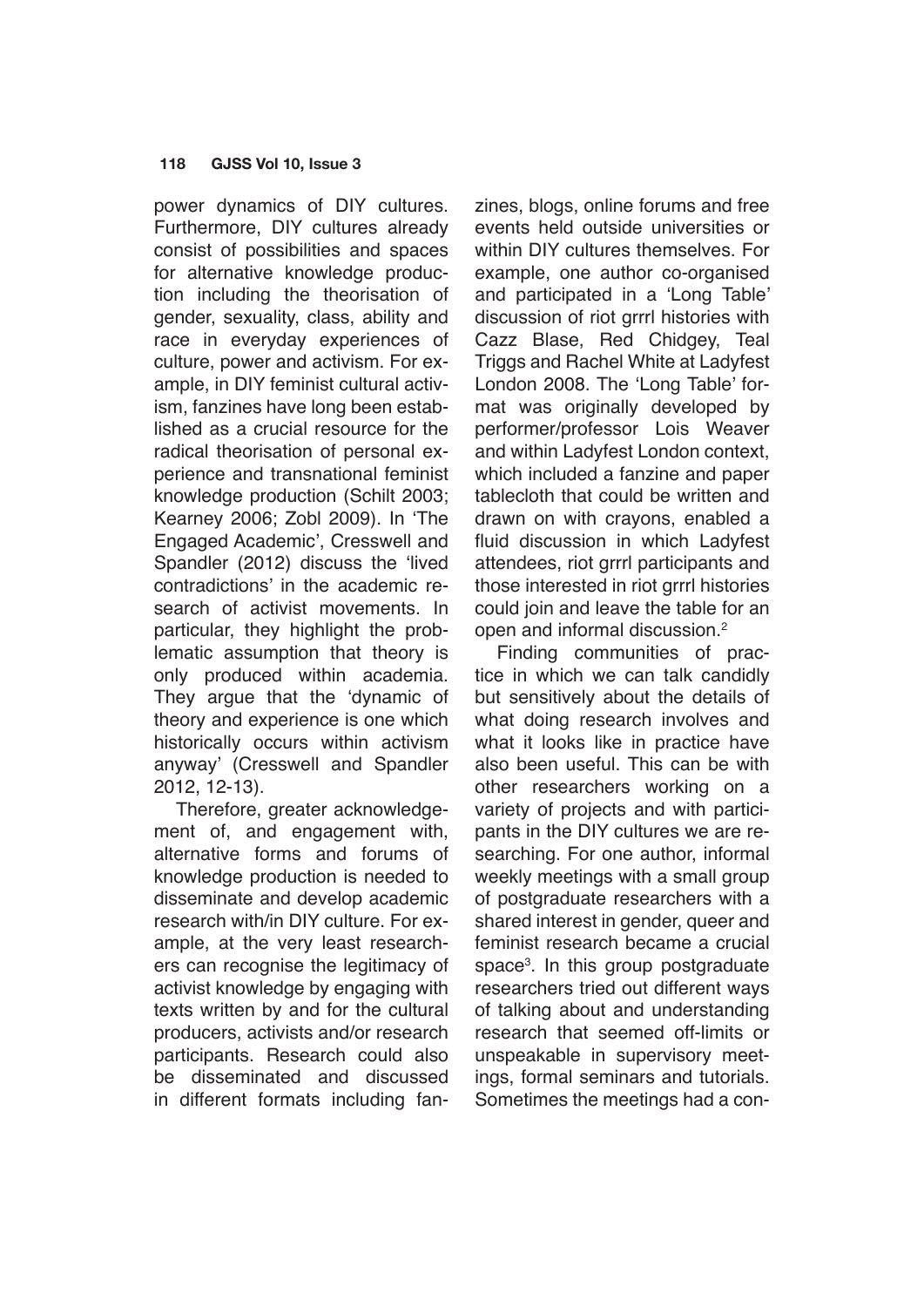power dynamics of DIY cultures. Furthermore, DIY cultures already consist of possibilities and spaces for alternative knowledge production including the theorisation of gender, sexuality, class, ability and race in everyday experiences of culture, power and activism. For example, in DIY feminist cultural activism, fanzines have long been established as a crucial resource for the radical theorisation of personal experience and transnational feminist knowledge production (Schilt 2003; Kearney 2006; Zobl 2009). In 'The Engaged Academic', Cresswell and Spandler (2012) discuss the 'lived contradictions' in the academic research of activist movements. In particular, they highlight the problematic assumption that theory is only produced within academia. They argue that the 'dynamic of theory and experience is one which historically occurs within activism anyway' (Cresswell and Spandler 2012, 12-13).

Therefore, greater acknowledgement of, and engagement with, alternative forms and forums of knowledge production is needed to disseminate and develop academic research with/in DIY culture. For example, at the very least researchers can recognise the legitimacy of activist knowledge by engaging with texts written by and for the cultural producers, activists and/or research participants. Research could also be disseminated and discussed in different formats including fanzines, blogs, online forums and free events held outside universities or within DIY cultures themselves. For example, one author co-organised and participated in a 'Long Table' discussion of riot grrrl histories with Cazz Blase, Red Chidgey, Teal Triggs and Rachel White at Ladyfest London 2008. The 'Long Table' format was originally developed by performer/professor Lois Weaver and within Ladyfest London context, which included a fanzine and paper tablecloth that could be written and drawn on with crayons, enabled a fluid discussion in which Ladyfest attendees, riot grrrl participants and those interested in riot grrrl histories could join and leave the table for an open and informal discussion.2

Finding communities of practice in which we can talk candidly but sensitively about the details of what doing research involves and what it looks like in practice have also been useful. This can be with other researchers working on a variety of projects and with participants in the DIY cultures we are researching. For one author, informal weekly meetings with a small group of postgraduate researchers with a shared interest in gender, queer and feminist research became a crucial space3 . In this group postgraduate researchers tried out different ways of talking about and understanding research that seemed off-limits or unspeakable in supervisory meetings, formal seminars and tutorials. Sometimes the meetings had a con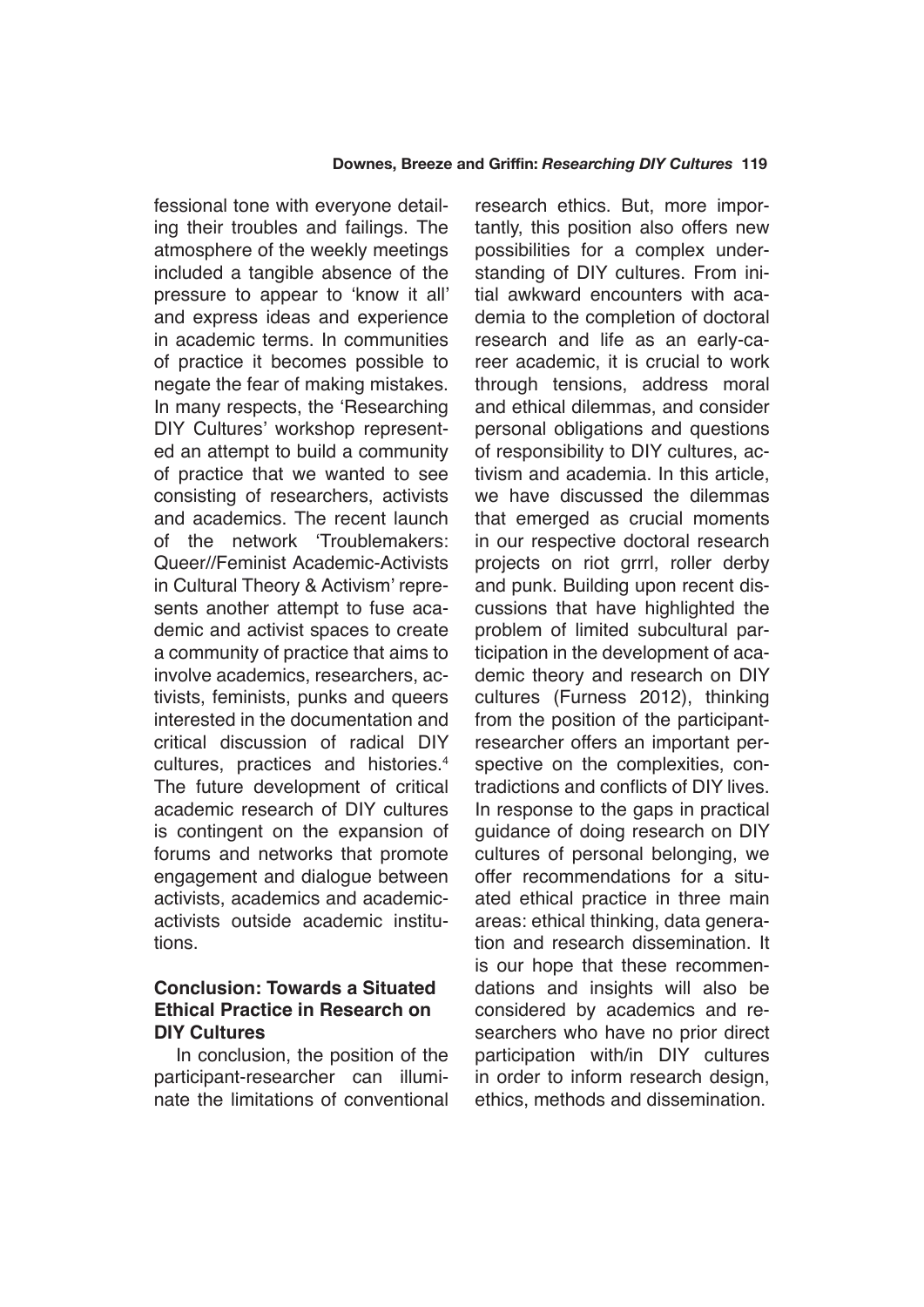fessional tone with everyone detailing their troubles and failings. The atmosphere of the weekly meetings included a tangible absence of the pressure to appear to 'know it all' and express ideas and experience in academic terms. In communities of practice it becomes possible to negate the fear of making mistakes. In many respects, the 'Researching DIY Cultures' workshop represented an attempt to build a community of practice that we wanted to see consisting of researchers, activists and academics. The recent launch of the network 'Troublemakers: Queer//Feminist Academic-Activists in Cultural Theory & Activism' represents another attempt to fuse academic and activist spaces to create a community of practice that aims to involve academics, researchers, activists, feminists, punks and queers interested in the documentation and critical discussion of radical DIY cultures, practices and histories.4 The future development of critical academic research of DIY cultures is contingent on the expansion of forums and networks that promote engagement and dialogue between activists, academics and academicactivists outside academic institutions.

## **Conclusion: Towards a Situated Ethical Practice in Research on DIY Cultures**

In conclusion, the position of the participant-researcher can illuminate the limitations of conventional research ethics. But, more importantly, this position also offers new possibilities for a complex understanding of DIY cultures. From initial awkward encounters with academia to the completion of doctoral research and life as an early-career academic, it is crucial to work through tensions, address moral and ethical dilemmas, and consider personal obligations and questions of responsibility to DIY cultures, activism and academia. In this article, we have discussed the dilemmas that emerged as crucial moments in our respective doctoral research projects on riot grrrl, roller derby and punk. Building upon recent discussions that have highlighted the problem of limited subcultural participation in the development of academic theory and research on DIY cultures (Furness 2012), thinking from the position of the participantresearcher offers an important perspective on the complexities, contradictions and conflicts of DIY lives. In response to the gaps in practical guidance of doing research on DIY cultures of personal belonging, we offer recommendations for a situated ethical practice in three main areas: ethical thinking, data generation and research dissemination. It is our hope that these recommendations and insights will also be considered by academics and researchers who have no prior direct participation with/in DIY cultures in order to inform research design, ethics, methods and dissemination.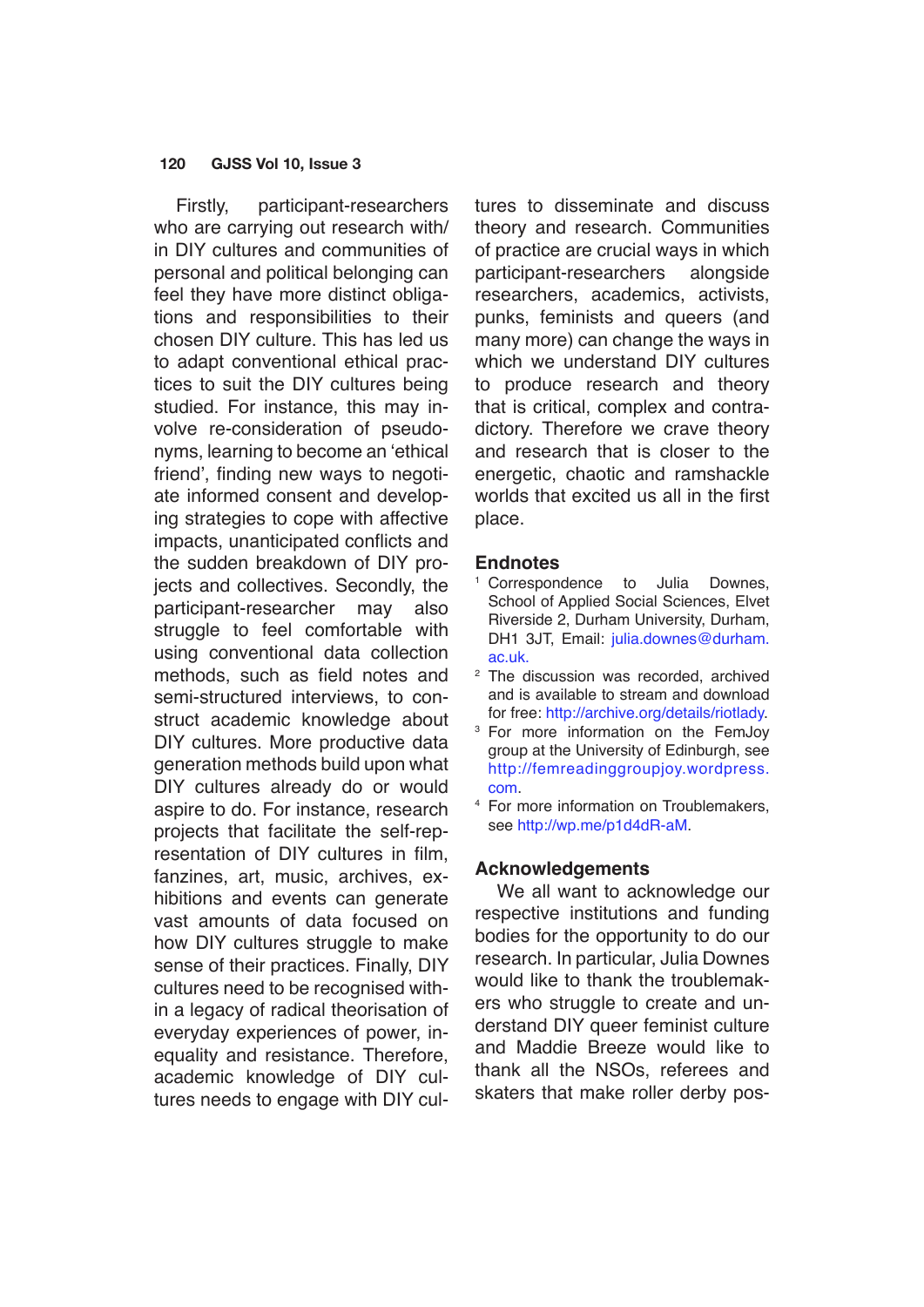Firstly, participant-researchers who are carrying out research with/ in DIY cultures and communities of personal and political belonging can feel they have more distinct obligations and responsibilities to their chosen DIY culture. This has led us to adapt conventional ethical practices to suit the DIY cultures being studied. For instance, this may involve re-consideration of pseudonyms, learning to become an 'ethical friend', finding new ways to negotiate informed consent and developing strategies to cope with affective impacts, unanticipated conflicts and the sudden breakdown of DIY projects and collectives. Secondly, the participant-researcher may also struggle to feel comfortable with using conventional data collection methods, such as field notes and semi-structured interviews, to construct academic knowledge about DIY cultures. More productive data generation methods build upon what DIY cultures already do or would aspire to do. For instance, research projects that facilitate the self-representation of DIY cultures in film, fanzines, art, music, archives, exhibitions and events can generate vast amounts of data focused on how DIY cultures struggle to make sense of their practices. Finally, DIY cultures need to be recognised within a legacy of radical theorisation of everyday experiences of power, inequality and resistance. Therefore, academic knowledge of DIY cultures needs to engage with DIY cultures to disseminate and discuss theory and research. Communities of practice are crucial ways in which participant-researchers alongside researchers, academics, activists, punks, feminists and queers (and many more) can change the ways in which we understand DIY cultures to produce research and theory that is critical, complex and contradictory. Therefore we crave theory and research that is closer to the energetic, chaotic and ramshackle worlds that excited us all in the first place.

#### **Endnotes**

- <sup>1</sup> Correspondence to Julia Downes, School of Applied Social Sciences, Elvet Riverside 2, Durham University, Durham, DH1 3JT, Email: [julia.downes@durham.](mailto:julia.downes@durham.ac.uk) [ac.uk.](mailto:julia.downes@durham.ac.uk)
- <sup>2</sup> The discussion was recorded, archived and is available to stream and download for free: <http://archive.org/details/riotlady>.
- <sup>3</sup> For more information on the FemJoy group at the University of Edinburgh, see [http://femreadinggroupjoy.wordpress.](http://femreadinggroupjoy.wordpress.com) [com.](http://femreadinggroupjoy.wordpress.com)
- <sup>4</sup> For more information on Troublemakers, see <http://wp.me/p1d4dR-aM>.

## **Acknowledgements**

We all want to acknowledge our respective institutions and funding bodies for the opportunity to do our research. In particular, Julia Downes would like to thank the troublemakers who struggle to create and understand DIY queer feminist culture and Maddie Breeze would like to thank all the NSOs, referees and skaters that make roller derby pos-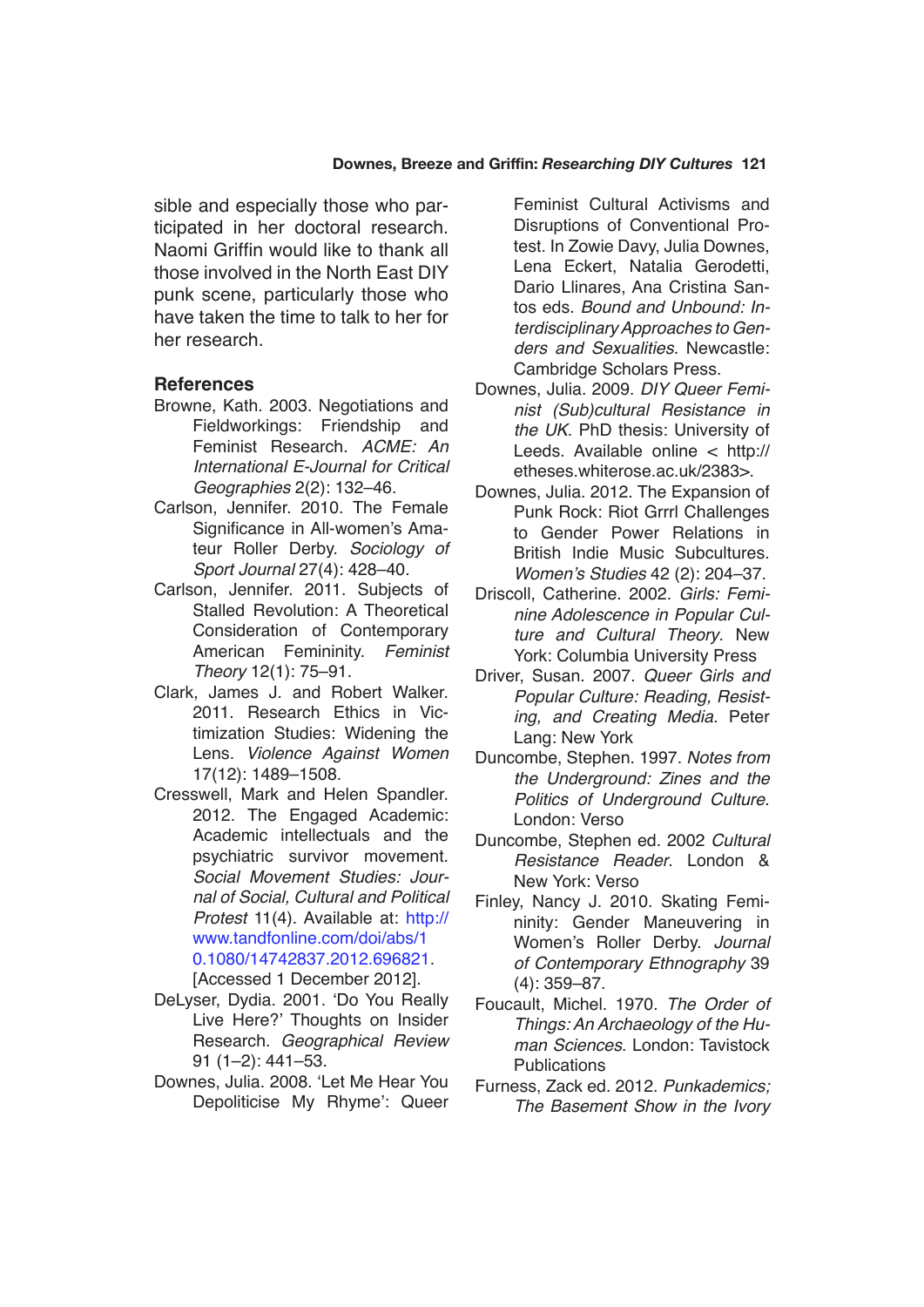#### **Downes, Breeze and Griffin:** *Researching DIY Cultures* **121**

sible and especially those who participated in her doctoral research. Naomi Griffin would like to thank all those involved in the North East DIY punk scene, particularly those who have taken the time to talk to her for her research.

## **References**

- Browne, Kath. 2003. Negotiations and Fieldworkings: Friendship and Feminist Research. ACME: An International E-Journal for Critical Geographies 2(2): 132–46.
- Carlson, Jennifer. 2010. The Female Significance in All-women's Amateur Roller Derby. Sociology of *Sport Journal* 27(4): 428–40.
- Carlson, Jennifer. 2011. Subjects of Stalled Revolution: A Theoretical Consideration of Contemporary American Femininity. Feminist *Theory* 12(1): 75–91.
- Clark, James J. and Robert Walker. 2011. Research Ethics in Victimization Studies: Widening the Lens. Violence Against Women 17(12): 1489–1508.
- Cresswell, Mark and Helen Spandler. 2012. The Engaged Academic: Academic intellectuals and the psychiatric survivor movement. Social Movement Studies: *Jour*nal of Social, Cultural and Political *Protest* 11(4). Available at: [http://](http://www.tandfonline.com/doi/abs/10.1080/14742837.2012.696821) [www.tandfonline.com/doi/abs/1](http://www.tandfonline.com/doi/abs/10.1080/14742837.2012.696821) [0.1080/14742837.2012.696821](http://www.tandfonline.com/doi/abs/10.1080/14742837.2012.696821). [Accessed 1 December 2012].
- DeLyser, Dydia. 2001. 'Do You Really Live Here?' Thoughts on Insider Research. Geographical Review 91 (1–2): 441–53.
- Downes, Julia. 2008. 'Let Me Hear You Depoliticise My Rhyme': Queer

Feminist Cultural Activisms and Disruptions of Conventional Protest. In Zowie Davy, Julia Downes, Lena Eckert, Natalia Gerodetti, Dario Llinares, Ana Cristina Santos eds. Bound and Unbound: Interdisciplinary Approaches to Genders and Sexualities. Newcastle: Cambridge Scholars Press.

- Downes, Julia. 2009. DIY Queer Feminist (Sub)cultural Resistance in the UK. PhD thesis: University of Leeds. Available online < http:// etheses.whiterose.ac.uk/2383>.
- Downes, Julia. 2012. The Expansion of Punk Rock: Riot Grrrl Challenges to Gender Power Relations in British Indie Music Subcultures. Women's Studies 42 (2): 204–37.
- Driscoll, Catherine. 2002. Girls: Feminine Adolescence in Popular Cul*ture and Cultural Theory*. New York: Columbia University Press
- Driver, Susan. 2007. *Queer Girls and*  Popular Culture: Reading, Resisting, and Creating Media. Peter Lang: New York
- Duncombe, Stephen. 1997. *Notes from*  the Underground: Zines and the Politics of Underground Culture. London: Verso
- Duncombe, Stephen ed. 2002 *Cultural*  Resistance Reader. London & New York: Verso
- Finley, Nancy J. 2010. Skating Femininity: Gender Maneuvering in Women's Roller Derby. *Journal*  of Contemporary Ethnography 39 (4): 359–87.
- Foucault, Michel. 1970. *The Order of*  Things: An Archaeology of the Hu*man Sciences*. London: Tavistock **Publications**
- Furness, Zack ed. 2012. *Punkademics;*  The Basement Show in the Ivory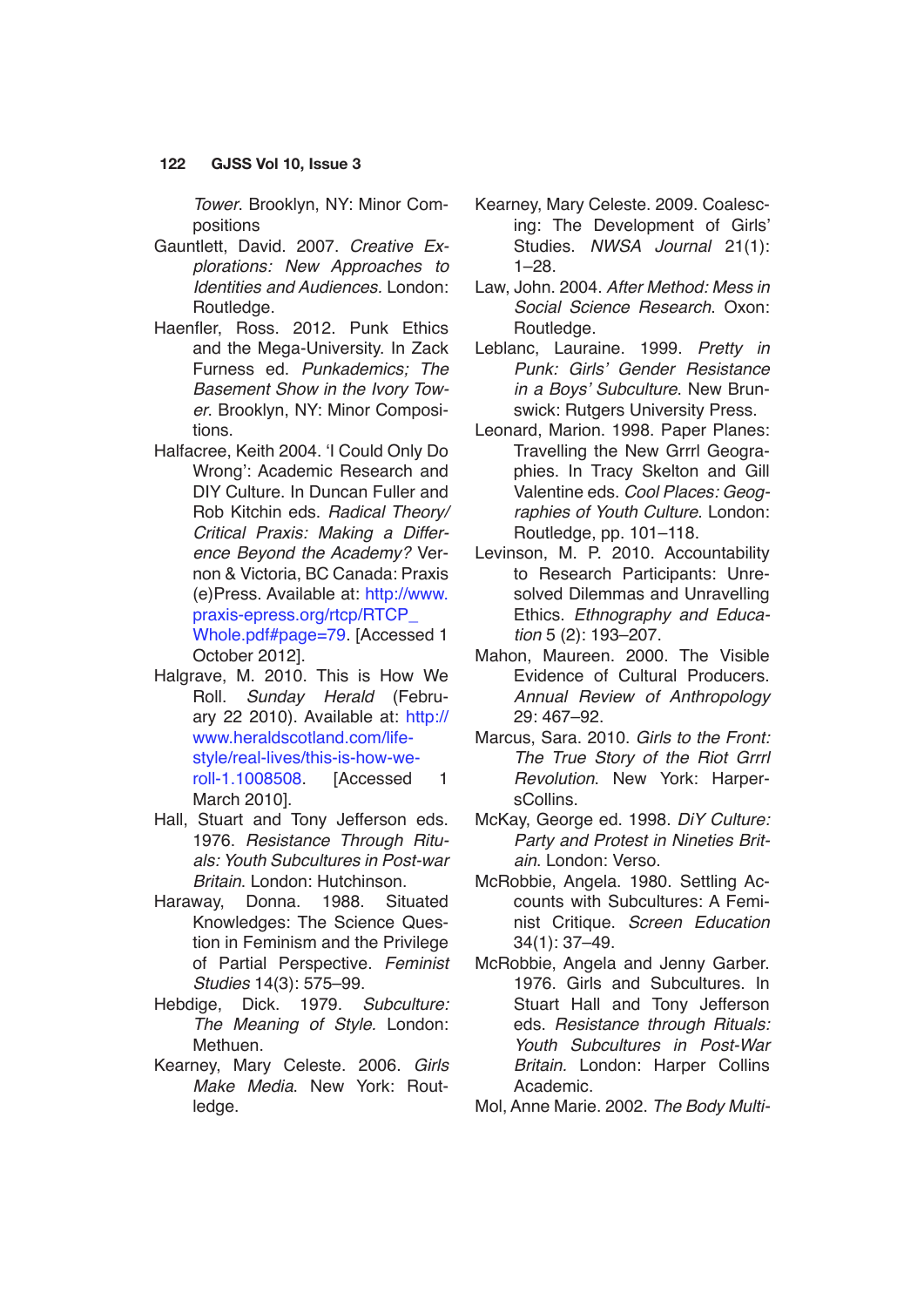Tower. Brooklyn, NY: Minor Compositions

- Gauntlett, David. 2007. Creative Explorations: New Approaches to Identities and Audiences. London: Routledge.
- Haenfler, Ross. 2012. Punk Ethics and the Mega-University. In Zack Furness ed. *Punkademics; The*  Basement Show in the Ivory Tow*er*. Brooklyn, NY: Minor Compositions.
- Halfacree, Keith 2004. 'I Could Only Do Wrong': Academic Research and DIY Culture. In Duncan Fuller and Rob Kitchin eds. Radical Theory/ Critical Praxis: Making a Difference Beyond the Academy? Vernon & Victoria, BC Canada: Praxis (e)Press. Available at: [http://www.](http://www.praxis-epress.org/rtcp/RTCP_Whole.pdf#page=79) [praxis-epress.org/rtcp/RTCP\\_](http://www.praxis-epress.org/rtcp/RTCP_Whole.pdf#page=79) [Whole.pdf#page=79.](http://www.praxis-epress.org/rtcp/RTCP_Whole.pdf#page=79) [Accessed 1 October 2012].
- Halgrave, M. 2010. This is How We Roll. Sunday Herald (February 22 2010). Available at: [http://](http://www.heraldscotland.com/life-style/real-lives/this-is-how-we-roll-1.1008508) [www.heraldscotland.com/life](http://www.heraldscotland.com/life-style/real-lives/this-is-how-we-roll-1.1008508)[style/real-lives/this-is-how-we](http://www.heraldscotland.com/life-style/real-lives/this-is-how-we-roll-1.1008508)[roll-1.1008508.](http://www.heraldscotland.com/life-style/real-lives/this-is-how-we-roll-1.1008508) [Accessed 1 March 2010].
- Hall, Stuart and Tony Jefferson eds. 1976. Resistance Through Rituals: Youth Subcultures in Post-war *Britain*. London: Hutchinson.
- Haraway, Donna. 1988. Situated Knowledges: The Science Question in Feminism and the Privilege of Partial Perspective. Feminist *Studies* 14(3): 575–99.
- Hebdige, Dick. 1979. Subculture: The Meaning of Style. London: Methuen.
- Kearney, Mary Celeste. 2006. *Girls*  Make Media. New York: Routledge.
- Kearney, Mary Celeste. 2009. Coalescing: The Development of Girls' Studies. NWSA Journal 21(1): 1–28.
- Law, John. 2004. After Method: Mess in Social Science Research. Oxon: Routledge.
- Leblanc, Lauraine. 1999. *Pretty in*  Punk: Girls' Gender Resistance in a Boys' Subculture. New Brunswick: Rutgers University Press.
- Leonard, Marion. 1998. Paper Planes: Travelling the New Grrrl Geographies. In Tracy Skelton and Gill Valentine eds. Cool Places: Geog*raphies of Youth Culture*. London: Routledge, pp. 101–118.
- Levinson, M. P. 2010. Accountability to Research Participants: Unresolved Dilemmas and Unravelling Ethics. Ethnography and Educa*tion* 5 (2): 193–207.
- Mahon, Maureen. 2000. The Visible Evidence of Cultural Producers. Annual Review of Anthropology 29: 467–92.
- Marcus, Sara. 2010. Girls to the Front: The True Story of the Riot Grrrl Revolution. New York: HarpersCollins.
- McKay, George ed. 1998. DiY Culture: *Party and Protest in Nineties Britain*. London: Verso.
- McRobbie, Angela. 1980. Settling Accounts with Subcultures: A Feminist Critique. Screen Education 34(1): 37–49.
- McRobbie, Angela and Jenny Garber. 1976. Girls and Subcultures. In Stuart Hall and Tony Jefferson eds. Resistance through Rituals: Youth Subcultures in Post-War Britain. London: Harper Collins Academic.
- Mol, Anne Marie. 2002. The Body Multi-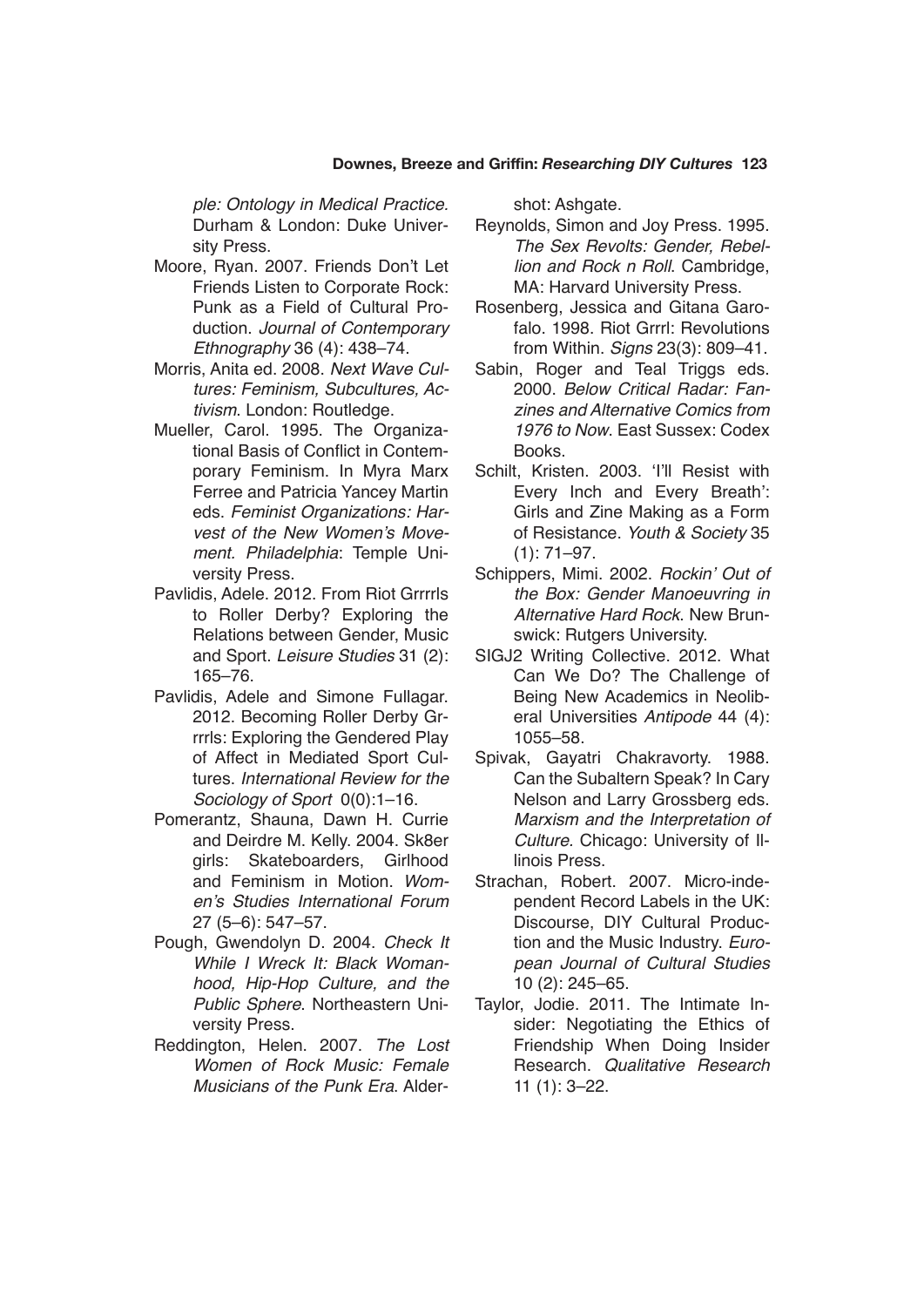#### **Downes, Breeze and Griffin:** *Researching DIY Cultures* **123**

ple: Ontology in Medical Practice. Durham & London: Duke University Press.

- Moore, Ryan. 2007. Friends Don't Let Friends Listen to Corporate Rock: Punk as a Field of Cultural Production. *Journal of Contemporary*  Ethnography 36 (4): 438–74.
- Morris, Anita ed. 2008. Next Wave Cultures: Feminism, Subcultures, Ac*tivism*. London: Routledge.
- Mueller, Carol. 1995. The Organizational Basis of Conflict in Contemporary Feminism. In Myra Marx Ferree and Patricia Yancey Martin eds. Feminist Organizations: Harvest of the New Women's Movement. Philadelphia: Temple University Press.
- Pavlidis, Adele. 2012. From Riot Grrrrls to Roller Derby? Exploring the Relations between Gender, Music and Sport. *Leisure Studies* 31 (2): 165–76.
- Pavlidis, Adele and Simone Fullagar. 2012. Becoming Roller Derby Grrrrls: Exploring the Gendered Play of Affect in Mediated Sport Cultures. International Review for the Sociology of Sport 0(0):1-16.
- Pomerantz, Shauna, Dawn H. Currie and Deirdre M. Kelly. 2004. Sk8er girls: Skateboarders, Girlhood and Feminism in Motion. Women's Studies International Forum 27 (5–6): 547–57.
- Pough, Gwendolyn D. 2004. *Check It*  While I Wreck It: Black Womanhood, Hip-Hop Culture, and the Public Sphere. Northeastern University Press.
- Reddington, Helen. 2007. *The Lost*  Women of Rock Music: Female Musicians of the Punk Era. Alder-

shot: Ashgate.

- Reynolds, Simon and Joy Press. 1995. The Sex Revolts: Gender, Rebellion and Rock n Roll. Cambridge, MA: Harvard University Press.
- Rosenberg, Jessica and Gitana Garofalo. 1998. Riot Grrrl: Revolutions from Within. Signs 23(3): 809-41.
- Sabin, Roger and Teal Triggs eds. 2000. Below Critical Radar: Fanzines and Alternative Comics from 1976 to Now. East Sussex: Codex **Books**
- Schilt, Kristen. 2003. 'I'll Resist with Every Inch and Every Breath': Girls and Zine Making as a Form of Resistance. *Youth & Society* 35 (1): 71–97.
- Schippers, Mimi. 2002. Rockin' Out of the Box: Gender Manoeuvring in Alternative Hard Rock. New Brunswick: Rutgers University.
- SIGJ2 Writing Collective. 2012. What Can We Do? The Challenge of Being New Academics in Neoliberal Universities Antipode 44 (4): 1055–58.
- Spivak, Gayatri Chakravorty. 1988. Can the Subaltern Speak? In Cary Nelson and Larry Grossberg eds. Marxism and the Interpretation of Culture. Chicago: University of Illinois Press.
- Strachan, Robert. 2007. Micro-independent Record Labels in the UK: Discourse, DIY Cultural Production and the Music Industry. Euro*pean Journal of Cultural Studies* 10 (2): 245–65.
- Taylor, Jodie. 2011. The Intimate Insider: Negotiating the Ethics of Friendship When Doing Insider Research. Qualitative Research 11 (1): 3–22.